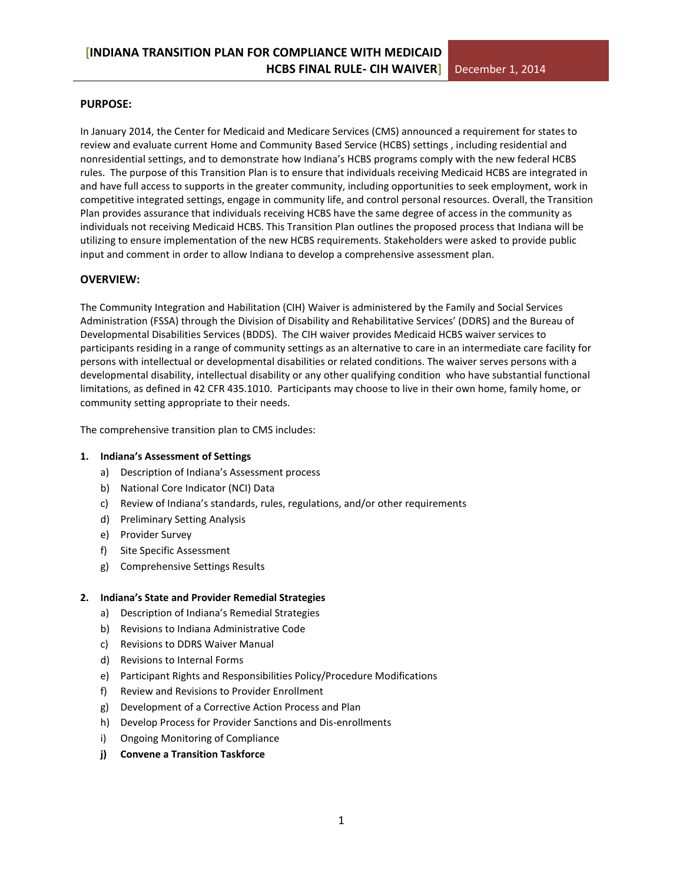#### **PURPOSE:**

In January 2014, the Center for Medicaid and Medicare Services (CMS) announced a requirement for states to review and evaluate current Home and Community Based Service (HCBS) settings , including residential and nonresidential settings, and to demonstrate how Indiana's HCBS programs comply with the new federal HCBS rules. The purpose of this Transition Plan is to ensure that individuals receiving Medicaid HCBS are integrated in and have full access to supports in the greater community, including opportunities to seek employment, work in competitive integrated settings, engage in community life, and control personal resources. Overall, the Transition Plan provides assurance that individuals receiving HCBS have the same degree of access in the community as individuals not receiving Medicaid HCBS. This Transition Plan outlines the proposed process that Indiana will be utilizing to ensure implementation of the new HCBS requirements. Stakeholders were asked to provide public input and comment in order to allow Indiana to develop a comprehensive assessment plan.

#### **OVERVIEW:**

The Community Integration and Habilitation (CIH) Waiver is administered by the Family and Social Services Administration (FSSA) through the Division of Disability and Rehabilitative Services' (DDRS) and the Bureau of Developmental Disabilities Services (BDDS). The CIH waiver provides Medicaid HCBS waiver services to participants residing in a range of community settings as an alternative to care in an intermediate care facility for persons with intellectual or developmental disabilities or related conditions. The waiver serves persons with a developmental disability, intellectual disability or any other qualifying condition who have substantial functional limitations, as defined in 42 CFR 435.1010. Participants may choose to live in their own home, family home, or community setting appropriate to their needs.

The comprehensive transition plan to CMS includes:

#### **1. Indiana's Assessment of Settings**

- a) Description of Indiana's Assessment process
- b) National Core Indicator (NCI) Data
- c) Review of Indiana's standards, rules, regulations, and/or other requirements
- d) Preliminary Setting Analysis
- e) Provider Survey
- f) Site Specific Assessment
- g) Comprehensive Settings Results

#### **2. Indiana's State and Provider Remedial Strategies**

- a) Description of Indiana's Remedial Strategies
- b) Revisions to Indiana Administrative Code
- c) Revisions to DDRS Waiver Manual
- d) Revisions to Internal Forms
- e) Participant Rights and Responsibilities Policy/Procedure Modifications
- f) Review and Revisions to Provider Enrollment
- g) Development of a Corrective Action Process and Plan
- h) Develop Process for Provider Sanctions and Dis-enrollments
- i) Ongoing Monitoring of Compliance
- **j) Convene a Transition Taskforce**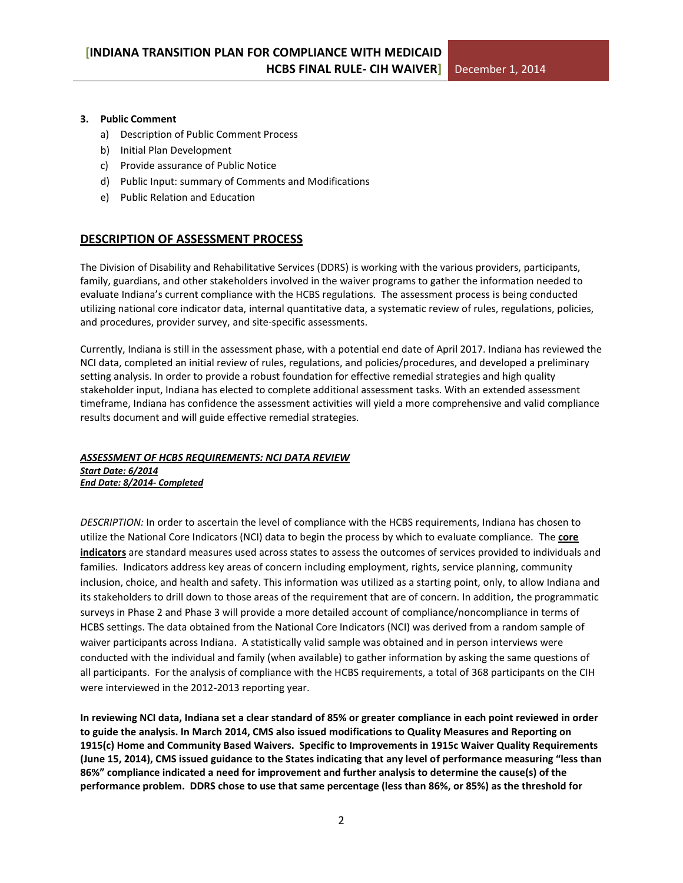#### **3. Public Comment**

- a) Description of Public Comment Process
- b) Initial Plan Development
- c) Provide assurance of Public Notice
- d) Public Input: summary of Comments and Modifications
- e) Public Relation and Education

#### **DESCRIPTION OF ASSESSMENT PROCESS**

The Division of Disability and Rehabilitative Services (DDRS) is working with the various providers, participants, family, guardians, and other stakeholders involved in the waiver programs to gather the information needed to evaluate Indiana's current compliance with the HCBS regulations. The assessment process is being conducted utilizing national core indicator data, internal quantitative data, a systematic review of rules, regulations, policies, and procedures, provider survey, and site-specific assessments.

Currently, Indiana is still in the assessment phase, with a potential end date of April 2017. Indiana has reviewed the NCI data, completed an initial review of rules, regulations, and policies/procedures, and developed a preliminary setting analysis. In order to provide a robust foundation for effective remedial strategies and high quality stakeholder input, Indiana has elected to complete additional assessment tasks. With an extended assessment timeframe, Indiana has confidence the assessment activities will yield a more comprehensive and valid compliance results document and will guide effective remedial strategies.

#### *ASSESSMENT OF HCBS REQUIREMENTS: NCI DATA REVIEW Start Date: 6/2014 End Date: 8/2014- Completed*

*DESCRIPTION:* In order to ascertain the level of compliance with the HCBS requirements, Indiana has chosen to utilize the National Core Indicators (NCI) data to begin the process by which to evaluate compliance. The **[core](http://www.nationalcoreindicators.org/indicators/)  [indicators](http://www.nationalcoreindicators.org/indicators/)** are standard measures used across states to assess the outcomes of services provided to individuals and families. Indicators address key areas of concern including employment, rights, service planning, community inclusion, choice, and health and safety. This information was utilized as a starting point, only, to allow Indiana and its stakeholders to drill down to those areas of the requirement that are of concern. In addition, the programmatic surveys in Phase 2 and Phase 3 will provide a more detailed account of compliance/noncompliance in terms of HCBS settings. The data obtained from the National Core Indicators (NCI) was derived from a random sample of waiver participants across Indiana. A statistically valid sample was obtained and in person interviews were conducted with the individual and family (when available) to gather information by asking the same questions of all participants. For the analysis of compliance with the HCBS requirements, a total of 368 participants on the CIH were interviewed in the 2012-2013 reporting year.

**In reviewing NCI data, Indiana set a clear standard of 85% or greater compliance in each point reviewed in order to guide the analysis. In March 2014, CMS also issued modifications to Quality Measures and Reporting on 1915(c) Home and Community Based Waivers. Specific to Improvements in 1915c Waiver Quality Requirements (June 15, 2014), CMS issued guidance to the States indicating that any level of performance measuring "less than 86%" compliance indicated a need for improvement and further analysis to determine the cause(s) of the performance problem. DDRS chose to use that same percentage (less than 86%, or 85%) as the threshold for**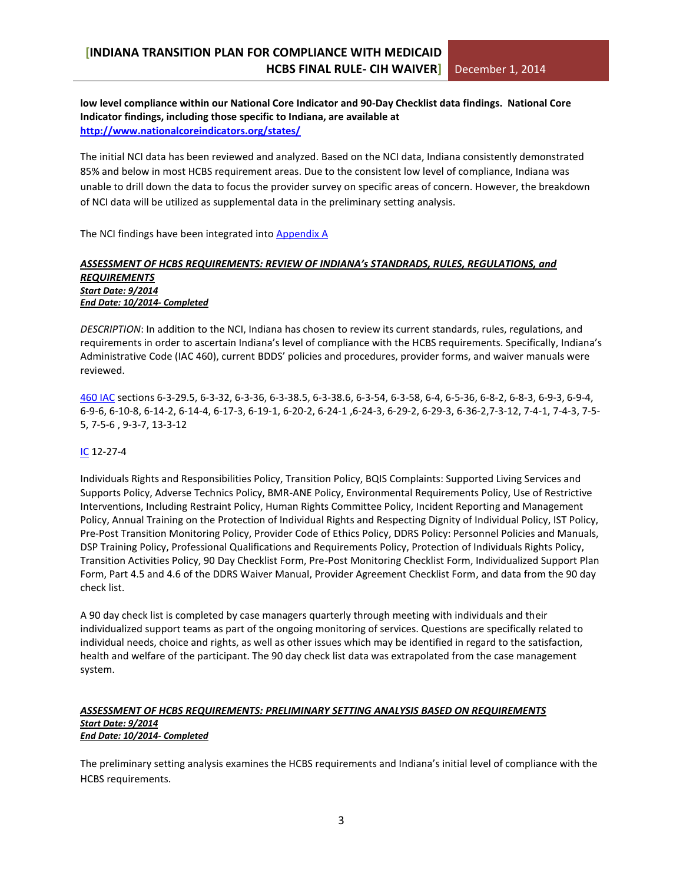#### **low level compliance within our National Core Indicator and 90-Day Checklist data findings. National Core Indicator findings, including those specific to Indiana, are available at <http://www.nationalcoreindicators.org/states/>**

The initial NCI data has been reviewed and analyzed. Based on the NCI data, Indiana consistently demonstrated 85% and below in most HCBS requirement areas. Due to the consistent low level of compliance, Indiana was unable to drill down the data to focus the provider survey on specific areas of concern. However, the breakdown of NCI data will be utilized as supplemental data in the preliminary setting analysis.

The NCI findings have been integrated into [Appendix A](#page-15-0)

#### *ASSESSMENT OF HCBS REQUIREMENTS: REVIEW OF INDIANA's STANDRADS, RULES, REGULATIONS, and REQUIREMENTS Start Date: 9/2014 End Date: 10/2014- Completed*

*DESCRIPTION*: In addition to the NCI, Indiana has chosen to review its current standards, rules, regulations, and requirements in order to ascertain Indiana's level of compliance with the HCBS requirements. Specifically, Indiana's Administrative Code (IAC 460), current BDDS' policies and procedures, provider forms, and waiver manuals were reviewed.

[460 IAC](http://www.in.gov/legislative/iac/title460.html) sections 6-3-29.5, 6-3-32, 6-3-36, 6-3-38.5, 6-3-38.6, 6-3-54, 6-3-58, 6-4, 6-5-36, 6-8-2, 6-8-3, 6-9-3, 6-9-4, 6-9-6, 6-10-8, 6-14-2, 6-14-4, 6-17-3, 6-19-1, 6-20-2, 6-24-1 ,6-24-3, 6-29-2, 6-29-3, 6-36-2,7-3-12, 7-4-1, 7-4-3, 7-5- 5, 7-5-6 , 9-3-7, 13-3-12

#### [IC](https://iga.in.gov/legislative/laws/2014/ic/) 12-27-4

Individuals Rights and Responsibilities Policy, Transition Policy, BQIS Complaints: Supported Living Services and Supports Policy, Adverse Technics Policy, BMR-ANE Policy, Environmental Requirements Policy, Use of Restrictive Interventions, Including Restraint Policy, Human Rights Committee Policy, Incident Reporting and Management Policy, Annual Training on the Protection of Individual Rights and Respecting Dignity of Individual Policy, IST Policy, Pre-Post Transition Monitoring Policy, Provider Code of Ethics Policy, DDRS Policy: Personnel Policies and Manuals, DSP Training Policy, Professional Qualifications and Requirements Policy, Protection of Individuals Rights Policy, Transition Activities Policy, 90 Day Checklist Form, Pre-Post Monitoring Checklist Form, Individualized Support Plan Form, Part 4.5 and 4.6 of the DDRS Waiver Manual, Provider Agreement Checklist Form, and data from the 90 day check list.

A 90 day check list is completed by case managers quarterly through meeting with individuals and their individualized support teams as part of the ongoing monitoring of services. Questions are specifically related to individual needs, choice and rights, as well as other issues which may be identified in regard to the satisfaction, health and welfare of the participant. The 90 day check list data was extrapolated from the case management system.

#### *ASSESSMENT OF HCBS REQUIREMENTS: PRELIMINARY SETTING ANALYSIS BASED ON REQUIREMENTS Start Date: 9/2014 End Date: 10/2014- Completed*

The preliminary setting analysis examines the HCBS requirements and Indiana's initial level of compliance with the HCBS requirements.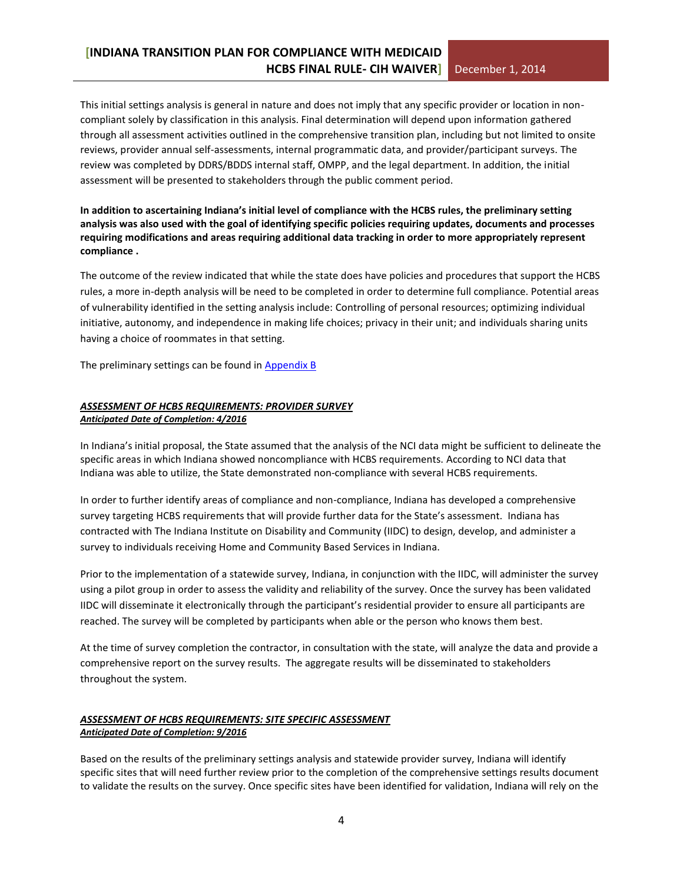This initial settings analysis is general in nature and does not imply that any specific provider or location in noncompliant solely by classification in this analysis. Final determination will depend upon information gathered through all assessment activities outlined in the comprehensive transition plan, including but not limited to onsite reviews, provider annual self-assessments, internal programmatic data, and provider/participant surveys. The review was completed by DDRS/BDDS internal staff, OMPP, and the legal department. In addition, the initial assessment will be presented to stakeholders through the public comment period.

**In addition to ascertaining Indiana's initial level of compliance with the HCBS rules, the preliminary setting analysis was also used with the goal of identifying specific policies requiring updates, documents and processes requiring modifications and areas requiring additional data tracking in order to more appropriately represent compliance .**

The outcome of the review indicated that while the state does have policies and procedures that support the HCBS rules, a more in-depth analysis will be need to be completed in order to determine full compliance. Potential areas of vulnerability identified in the setting analysis include: Controlling of personal resources; optimizing individual initiative, autonomy, and independence in making life choices; privacy in their unit; and individuals sharing units having a choice of roommates in that setting.

The preliminary settings can be found in [Appendix B](#page-30-0)

#### *ASSESSMENT OF HCBS REQUIREMENTS: PROVIDER SURVEY Anticipated Date of Completion: 4/2016*

In Indiana's initial proposal, the State assumed that the analysis of the NCI data might be sufficient to delineate the specific areas in which Indiana showed noncompliance with HCBS requirements. According to NCI data that Indiana was able to utilize, the State demonstrated non-compliance with several HCBS requirements.

In order to further identify areas of compliance and non-compliance, Indiana has developed a comprehensive survey targeting HCBS requirements that will provide further data for the State's assessment. Indiana has contracted with The Indiana Institute on Disability and Community (IIDC) to design, develop, and administer a survey to individuals receiving Home and Community Based Services in Indiana.

Prior to the implementation of a statewide survey, Indiana, in conjunction with the IIDC, will administer the survey using a pilot group in order to assess the validity and reliability of the survey. Once the survey has been validated IIDC will disseminate it electronically through the participant's residential provider to ensure all participants are reached. The survey will be completed by participants when able or the person who knows them best.

At the time of survey completion the contractor, in consultation with the state, will analyze the data and provide a comprehensive report on the survey results. The aggregate results will be disseminated to stakeholders throughout the system.

#### *ASSESSMENT OF HCBS REQUIREMENTS: SITE SPECIFIC ASSESSMENT Anticipated Date of Completion: 9/2016*

Based on the results of the preliminary settings analysis and statewide provider survey, Indiana will identify specific sites that will need further review prior to the completion of the comprehensive settings results document to validate the results on the survey. Once specific sites have been identified for validation, Indiana will rely on the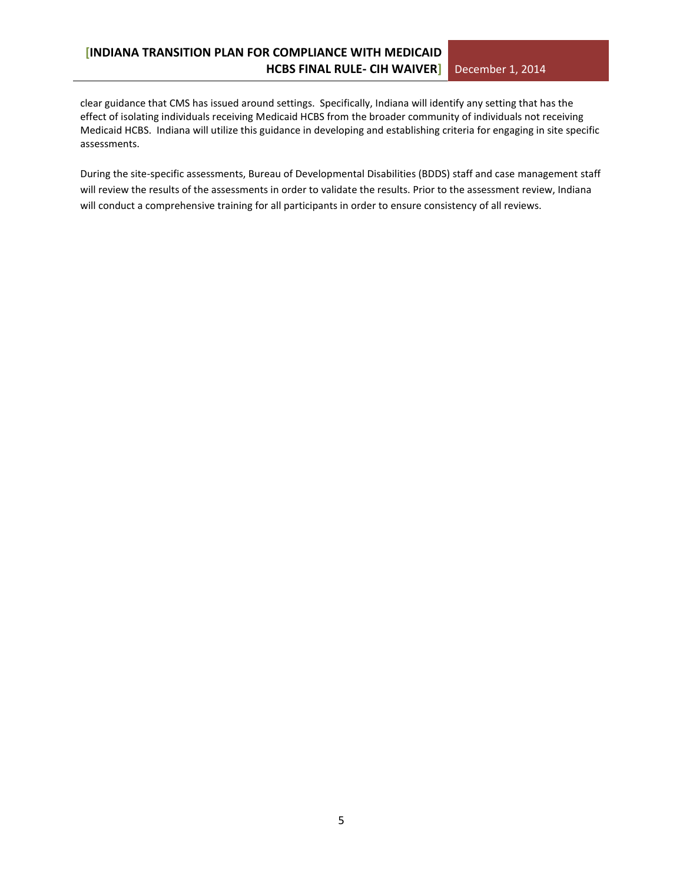clear guidance that CMS has issued around settings. Specifically, Indiana will identify any setting that has the effect of isolating individuals receiving Medicaid HCBS from the broader community of individuals not receiving Medicaid HCBS. Indiana will utilize this guidance in developing and establishing criteria for engaging in site specific assessments.

During the site-specific assessments, Bureau of Developmental Disabilities (BDDS) staff and case management staff will review the results of the assessments in order to validate the results. Prior to the assessment review, Indiana will conduct a comprehensive training for all participants in order to ensure consistency of all reviews.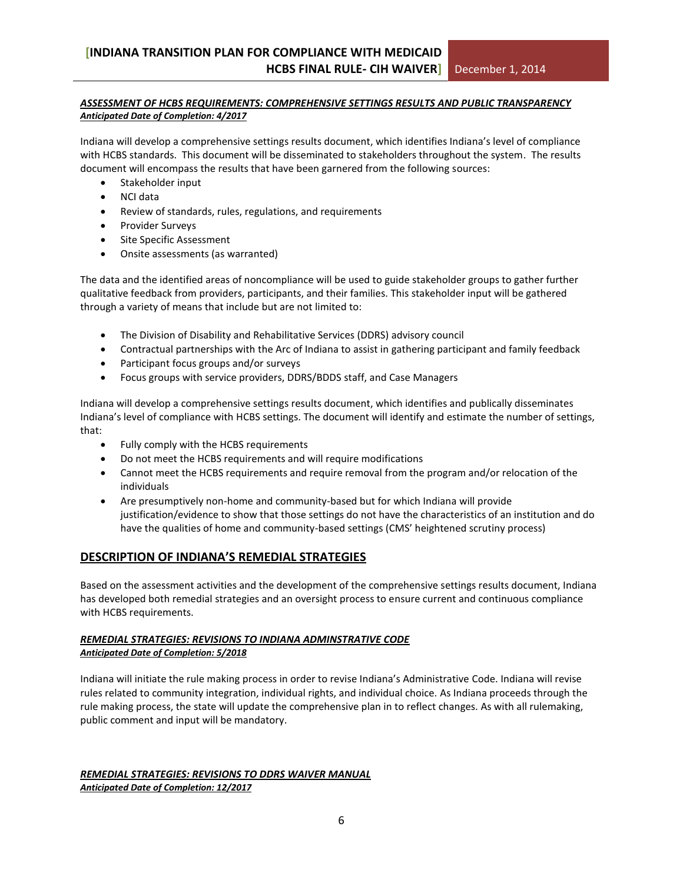#### *ASSESSMENT OF HCBS REQUIREMENTS: COMPREHENSIVE SETTINGS RESULTS AND PUBLIC TRANSPARENCY Anticipated Date of Completion: 4/2017*

Indiana will develop a comprehensive settings results document, which identifies Indiana's level of compliance with HCBS standards. This document will be disseminated to stakeholders throughout the system. The results document will encompass the results that have been garnered from the following sources:

- Stakeholder input
- NCI data
- Review of standards, rules, regulations, and requirements
- Provider Surveys
- Site Specific Assessment
- Onsite assessments (as warranted)

The data and the identified areas of noncompliance will be used to guide stakeholder groups to gather further qualitative feedback from providers, participants, and their families. This stakeholder input will be gathered through a variety of means that include but are not limited to:

- The Division of Disability and Rehabilitative Services (DDRS) advisory council
- Contractual partnerships with the Arc of Indiana to assist in gathering participant and family feedback
- Participant focus groups and/or surveys
- Focus groups with service providers, DDRS/BDDS staff, and Case Managers

Indiana will develop a comprehensive settings results document, which identifies and publically disseminates Indiana's level of compliance with HCBS settings. The document will identify and estimate the number of settings, that:

- Fully comply with the HCBS requirements
- Do not meet the HCBS requirements and will require modifications
- Cannot meet the HCBS requirements and require removal from the program and/or relocation of the individuals
- Are presumptively non-home and community-based but for which Indiana will provide justification/evidence to show that those settings do not have the characteristics of an institution and do have the qualities of home and community-based settings (CMS' heightened scrutiny process)

#### **DESCRIPTION OF INDIANA'S REMEDIAL STRATEGIES**

Based on the assessment activities and the development of the comprehensive settings results document, Indiana has developed both remedial strategies and an oversight process to ensure current and continuous compliance with HCBS requirements.

#### *REMEDIAL STRATEGIES: REVISIONS TO INDIANA ADMINSTRATIVE CODE Anticipated Date of Completion: 5/2018*

Indiana will initiate the rule making process in order to revise Indiana's Administrative Code. Indiana will revise rules related to community integration, individual rights, and individual choice. As Indiana proceeds through the rule making process, the state will update the comprehensive plan in to reflect changes. As with all rulemaking, public comment and input will be mandatory.

#### *REMEDIAL STRATEGIES: REVISIONS TO DDRS WAIVER MANUAL Anticipated Date of Completion: 12/2017*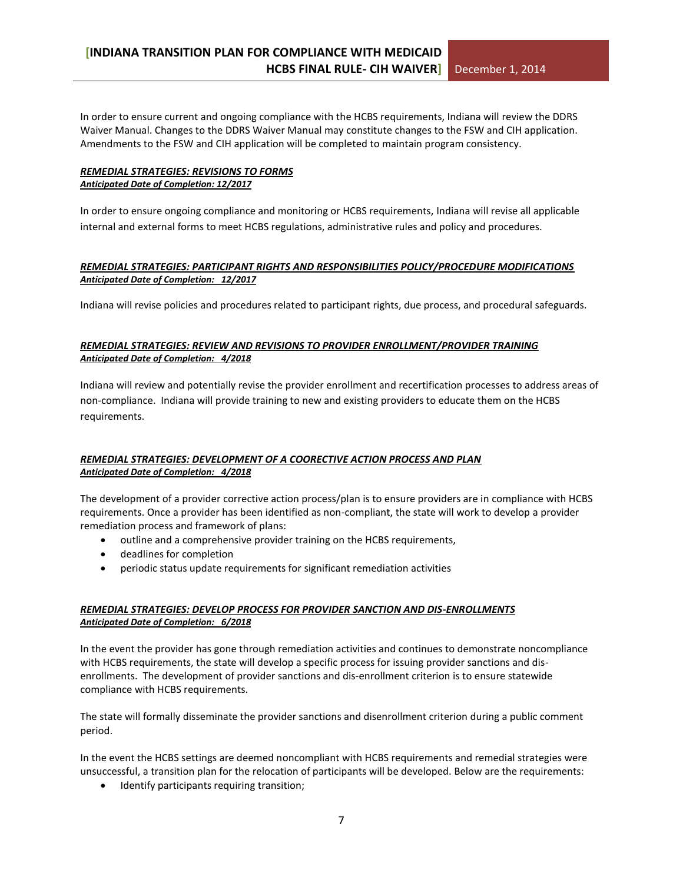In order to ensure current and ongoing compliance with the HCBS requirements, Indiana will review the DDRS Waiver Manual. Changes to the DDRS Waiver Manual may constitute changes to the FSW and CIH application. Amendments to the FSW and CIH application will be completed to maintain program consistency.

#### *REMEDIAL STRATEGIES: REVISIONS TO FORMS Anticipated Date of Completion: 12/2017*

In order to ensure ongoing compliance and monitoring or HCBS requirements, Indiana will revise all applicable internal and external forms to meet HCBS regulations, administrative rules and policy and procedures.

#### *REMEDIAL STRATEGIES: PARTICIPANT RIGHTS AND RESPONSIBILITIES POLICY/PROCEDURE MODIFICATIONS Anticipated Date of Completion: 12/2017*

Indiana will revise policies and procedures related to participant rights, due process, and procedural safeguards.

#### *REMEDIAL STRATEGIES: REVIEW AND REVISIONS TO PROVIDER ENROLLMENT/PROVIDER TRAINING Anticipated Date of Completion: 4/2018*

Indiana will review and potentially revise the provider enrollment and recertification processes to address areas of non-compliance. Indiana will provide training to new and existing providers to educate them on the HCBS requirements.

#### *REMEDIAL STRATEGIES: DEVELOPMENT OF A COORECTIVE ACTION PROCESS AND PLAN Anticipated Date of Completion: 4/2018*

The development of a provider corrective action process/plan is to ensure providers are in compliance with HCBS requirements. Once a provider has been identified as non-compliant, the state will work to develop a provider remediation process and framework of plans:

- outline and a comprehensive provider training on the HCBS requirements,
- deadlines for completion
- periodic status update requirements for significant remediation activities

#### *REMEDIAL STRATEGIES: DEVELOP PROCESS FOR PROVIDER SANCTION AND DIS-ENROLLMENTS Anticipated Date of Completion: 6/2018*

In the event the provider has gone through remediation activities and continues to demonstrate noncompliance with HCBS requirements, the state will develop a specific process for issuing provider sanctions and disenrollments. The development of provider sanctions and dis-enrollment criterion is to ensure statewide compliance with HCBS requirements.

The state will formally disseminate the provider sanctions and disenrollment criterion during a public comment period.

In the event the HCBS settings are deemed noncompliant with HCBS requirements and remedial strategies were unsuccessful, a transition plan for the relocation of participants will be developed. Below are the requirements:

• Identify participants requiring transition;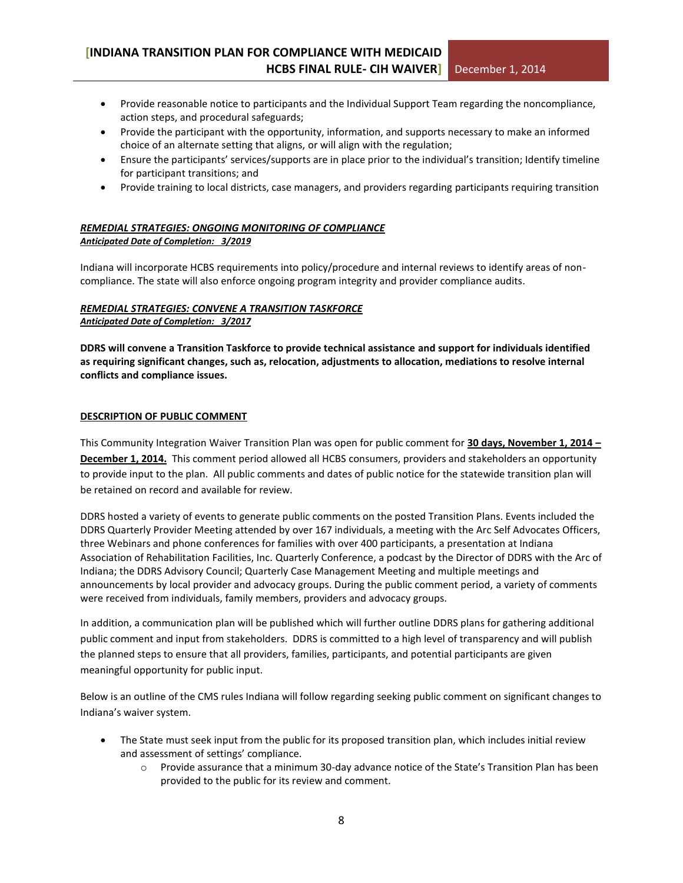- Provide reasonable notice to participants and the Individual Support Team regarding the noncompliance, action steps, and procedural safeguards;
- Provide the participant with the opportunity, information, and supports necessary to make an informed choice of an alternate setting that aligns, or will align with the regulation;
- Ensure the participants' services/supports are in place prior to the individual's transition; Identify timeline for participant transitions; and
- Provide training to local districts, case managers, and providers regarding participants requiring transition

#### *REMEDIAL STRATEGIES: ONGOING MONITORING OF COMPLIANCE Anticipated Date of Completion: 3/2019*

Indiana will incorporate HCBS requirements into policy/procedure and internal reviews to identify areas of noncompliance. The state will also enforce ongoing program integrity and provider compliance audits.

#### *REMEDIAL STRATEGIES: CONVENE A TRANSITION TASKFORCE Anticipated Date of Completion: 3/2017*

**DDRS will convene a Transition Taskforce to provide technical assistance and support for individuals identified as requiring significant changes, such as, relocation, adjustments to allocation, mediations to resolve internal conflicts and compliance issues.**

#### **DESCRIPTION OF PUBLIC COMMENT**

This Community Integration Waiver Transition Plan was open for public comment for **30 days, November 1, 2014 – December 1, 2014.** This comment period allowed all HCBS consumers, providers and stakeholders an opportunity to provide input to the plan. All public comments and dates of public notice for the statewide transition plan will be retained on record and available for review.

DDRS hosted a variety of events to generate public comments on the posted Transition Plans. Events included the DDRS Quarterly Provider Meeting attended by over 167 individuals, a meeting with the Arc Self Advocates Officers, three Webinars and phone conferences for families with over 400 participants, a presentation at Indiana Association of Rehabilitation Facilities, Inc. Quarterly Conference, a podcast by the Director of DDRS with the Arc of Indiana; the DDRS Advisory Council; Quarterly Case Management Meeting and multiple meetings and announcements by local provider and advocacy groups. During the public comment period, a variety of comments were received from individuals, family members, providers and advocacy groups.

In addition, a communication plan will be published which will further outline DDRS plans for gathering additional public comment and input from stakeholders. DDRS is committed to a high level of transparency and will publish the planned steps to ensure that all providers, families, participants, and potential participants are given meaningful opportunity for public input.

Below is an outline of the CMS rules Indiana will follow regarding seeking public comment on significant changes to Indiana's waiver system.

- The State must seek input from the public for its proposed transition plan, which includes initial review and assessment of settings' compliance.
	- o Provide assurance that a minimum 30-day advance notice of the State's Transition Plan has been provided to the public for its review and comment.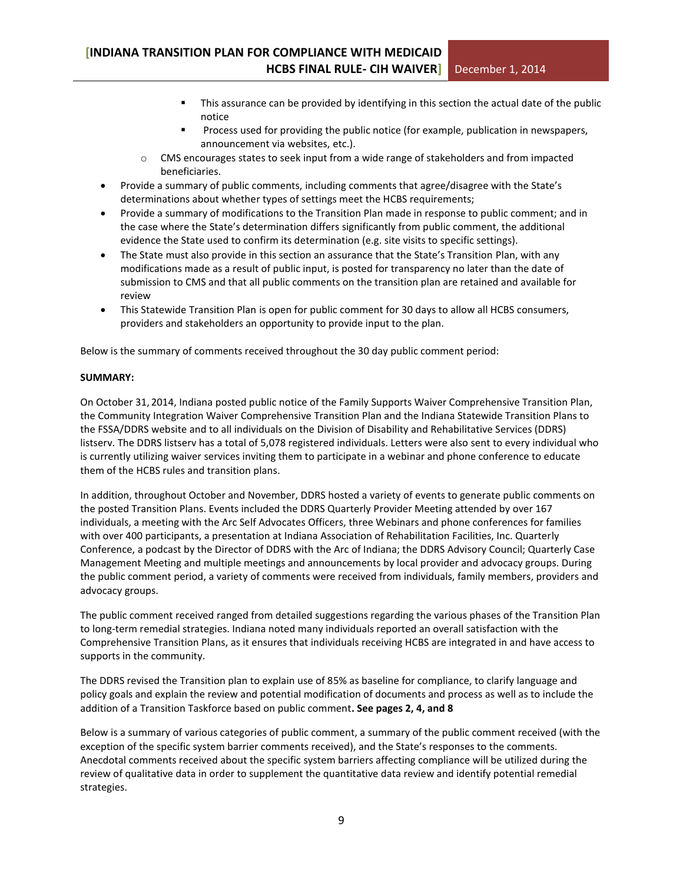- This assurance can be provided by identifying in this section the actual date of the public notice
- Process used for providing the public notice (for example, publication in newspapers, announcement via websites, etc.).
- o CMS encourages states to seek input from a wide range of stakeholders and from impacted beneficiaries.
- Provide a summary of public comments, including comments that agree/disagree with the State's determinations about whether types of settings meet the HCBS requirements;
- Provide a summary of modifications to the Transition Plan made in response to public comment; and in the case where the State's determination differs significantly from public comment, the additional evidence the State used to confirm its determination (e.g. site visits to specific settings).
- The State must also provide in this section an assurance that the State's Transition Plan, with any modifications made as a result of public input, is posted for transparency no later than the date of submission to CMS and that all public comments on the transition plan are retained and available for review
- This Statewide Transition Plan is open for public comment for 30 days to allow all HCBS consumers, providers and stakeholders an opportunity to provide input to the plan.

Below is the summary of comments received throughout the 30 day public comment period:

#### **SUMMARY:**

On October 31, 2014, Indiana posted public notice of the Family Supports Waiver Comprehensive Transition Plan, the Community Integration Waiver Comprehensive Transition Plan and the Indiana Statewide Transition Plans to the FSSA/DDRS website and to all individuals on the Division of Disability and Rehabilitative Services (DDRS) listserv. The DDRS listserv has a total of 5,078 registered individuals. Letters were also sent to every individual who is currently utilizing waiver services inviting them to participate in a webinar and phone conference to educate them of the HCBS rules and transition plans.

In addition, throughout October and November, DDRS hosted a variety of events to generate public comments on the posted Transition Plans. Events included the DDRS Quarterly Provider Meeting attended by over 167 individuals, a meeting with the Arc Self Advocates Officers, three Webinars and phone conferences for families with over 400 participants, a presentation at Indiana Association of Rehabilitation Facilities, Inc. Quarterly Conference, a podcast by the Director of DDRS with the Arc of Indiana; the DDRS Advisory Council; Quarterly Case Management Meeting and multiple meetings and announcements by local provider and advocacy groups. During the public comment period, a variety of comments were received from individuals, family members, providers and advocacy groups.

The public comment received ranged from detailed suggestions regarding the various phases of the Transition Plan to long-term remedial strategies. Indiana noted many individuals reported an overall satisfaction with the Comprehensive Transition Plans, as it ensures that individuals receiving HCBS are integrated in and have access to supports in the community.

The DDRS revised the Transition plan to explain use of 85% as baseline for compliance, to clarify language and policy goals and explain the review and potential modification of documents and process as well as to include the addition of a Transition Taskforce based on public comment**. See pages 2, 4, and 8**

Below is a summary of various categories of public comment, a summary of the public comment received (with the exception of the specific system barrier comments received), and the State's responses to the comments. Anecdotal comments received about the specific system barriers affecting compliance will be utilized during the review of qualitative data in order to supplement the quantitative data review and identify potential remedial strategies.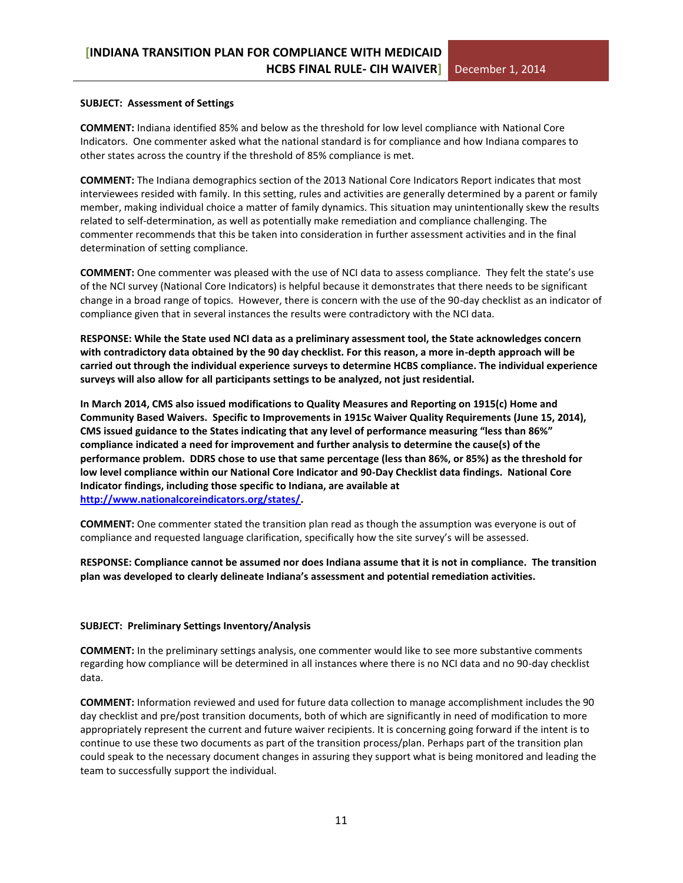#### **SUBJECT: Assessment of Settings**

**COMMENT:** Indiana identified 85% and below as the threshold for low level compliance with National Core Indicators. One commenter asked what the national standard is for compliance and how Indiana compares to other states across the country if the threshold of 85% compliance is met.

**COMMENT:** The Indiana demographics section of the 2013 National Core Indicators Report indicates that most interviewees resided with family. In this setting, rules and activities are generally determined by a parent or family member, making individual choice a matter of family dynamics. This situation may unintentionally skew the results related to self-determination, as well as potentially make remediation and compliance challenging. The commenter recommends that this be taken into consideration in further assessment activities and in the final determination of setting compliance.

**COMMENT:** One commenter was pleased with the use of NCI data to assess compliance. They felt the state's use of the NCI survey (National Core Indicators) is helpful because it demonstrates that there needs to be significant change in a broad range of topics. However, there is concern with the use of the 90-day checklist as an indicator of compliance given that in several instances the results were contradictory with the NCI data.

**RESPONSE: While the State used NCI data as a preliminary assessment tool, the State acknowledges concern with contradictory data obtained by the 90 day checklist. For this reason, a more in-depth approach will be carried out through the individual experience surveys to determine HCBS compliance. The individual experience surveys will also allow for all participants settings to be analyzed, not just residential.** 

**In March 2014, CMS also issued modifications to Quality Measures and Reporting on 1915(c) Home and Community Based Waivers. Specific to Improvements in 1915c Waiver Quality Requirements (June 15, 2014), CMS issued guidance to the States indicating that any level of performance measuring "less than 86%" compliance indicated a need for improvement and further analysis to determine the cause(s) of the performance problem. DDRS chose to use that same percentage (less than 86%, or 85%) as the threshold for low level compliance within our National Core Indicator and 90-Day Checklist data findings. National Core Indicator findings, including those specific to Indiana, are available at [http://www.nationalcoreindicators.org/states/.](http://www.nationalcoreindicators.org/states/)** 

**COMMENT:** One commenter stated the transition plan read as though the assumption was everyone is out of compliance and requested language clarification, specifically how the site survey's will be assessed.

**RESPONSE: Compliance cannot be assumed nor does Indiana assume that it is not in compliance. The transition plan was developed to clearly delineate Indiana's assessment and potential remediation activities.** 

#### **SUBJECT: Preliminary Settings Inventory/Analysis**

**COMMENT:** In the preliminary settings analysis, one commenter would like to see more substantive comments regarding how compliance will be determined in all instances where there is no NCI data and no 90-day checklist data.

**COMMENT:** Information reviewed and used for future data collection to manage accomplishment includes the 90 day checklist and pre/post transition documents, both of which are significantly in need of modification to more appropriately represent the current and future waiver recipients. It is concerning going forward if the intent is to continue to use these two documents as part of the transition process/plan. Perhaps part of the transition plan could speak to the necessary document changes in assuring they support what is being monitored and leading the team to successfully support the individual.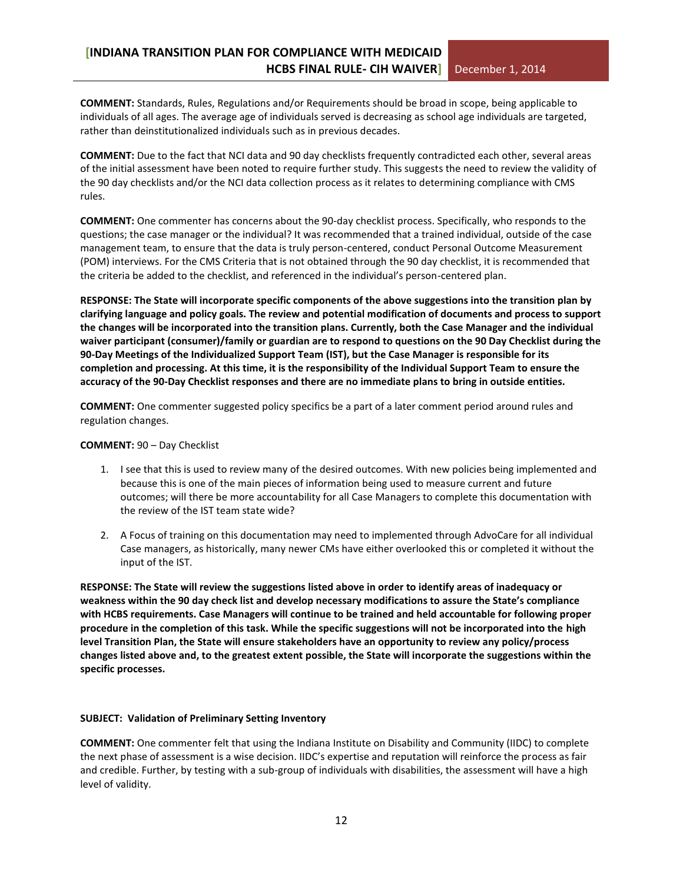**COMMENT:** Standards, Rules, Regulations and/or Requirements should be broad in scope, being applicable to individuals of all ages. The average age of individuals served is decreasing as school age individuals are targeted, rather than deinstitutionalized individuals such as in previous decades.

**COMMENT:** Due to the fact that NCI data and 90 day checklists frequently contradicted each other, several areas of the initial assessment have been noted to require further study. This suggests the need to review the validity of the 90 day checklists and/or the NCI data collection process as it relates to determining compliance with CMS rules.

**COMMENT:** One commenter has concerns about the 90-day checklist process. Specifically, who responds to the questions; the case manager or the individual? It was recommended that a trained individual, outside of the case management team, to ensure that the data is truly person-centered, conduct Personal Outcome Measurement (POM) interviews. For the CMS Criteria that is not obtained through the 90 day checklist, it is recommended that the criteria be added to the checklist, and referenced in the individual's person-centered plan.

**RESPONSE: The State will incorporate specific components of the above suggestions into the transition plan by clarifying language and policy goals. The review and potential modification of documents and process to support the changes will be incorporated into the transition plans. Currently, both the Case Manager and the individual waiver participant (consumer)/family or guardian are to respond to questions on the 90 Day Checklist during the 90-Day Meetings of the Individualized Support Team (IST), but the Case Manager is responsible for its completion and processing. At this time, it is the responsibility of the Individual Support Team to ensure the accuracy of the 90-Day Checklist responses and there are no immediate plans to bring in outside entities.**

**COMMENT:** One commenter suggested policy specifics be a part of a later comment period around rules and regulation changes.

#### **COMMENT:** 90 – Day Checklist

- 1. I see that this is used to review many of the desired outcomes. With new policies being implemented and because this is one of the main pieces of information being used to measure current and future outcomes; will there be more accountability for all Case Managers to complete this documentation with the review of the IST team state wide?
- 2. A Focus of training on this documentation may need to implemented through AdvoCare for all individual Case managers, as historically, many newer CMs have either overlooked this or completed it without the input of the IST.

**RESPONSE: The State will review the suggestions listed above in order to identify areas of inadequacy or weakness within the 90 day check list and develop necessary modifications to assure the State's compliance with HCBS requirements. Case Managers will continue to be trained and held accountable for following proper procedure in the completion of this task. While the specific suggestions will not be incorporated into the high level Transition Plan, the State will ensure stakeholders have an opportunity to review any policy/process changes listed above and, to the greatest extent possible, the State will incorporate the suggestions within the specific processes.** 

#### **SUBJECT: Validation of Preliminary Setting Inventory**

**COMMENT:** One commenter felt that using the Indiana Institute on Disability and Community (IIDC) to complete the next phase of assessment is a wise decision. IIDC's expertise and reputation will reinforce the process as fair and credible. Further, by testing with a sub-group of individuals with disabilities, the assessment will have a high level of validity.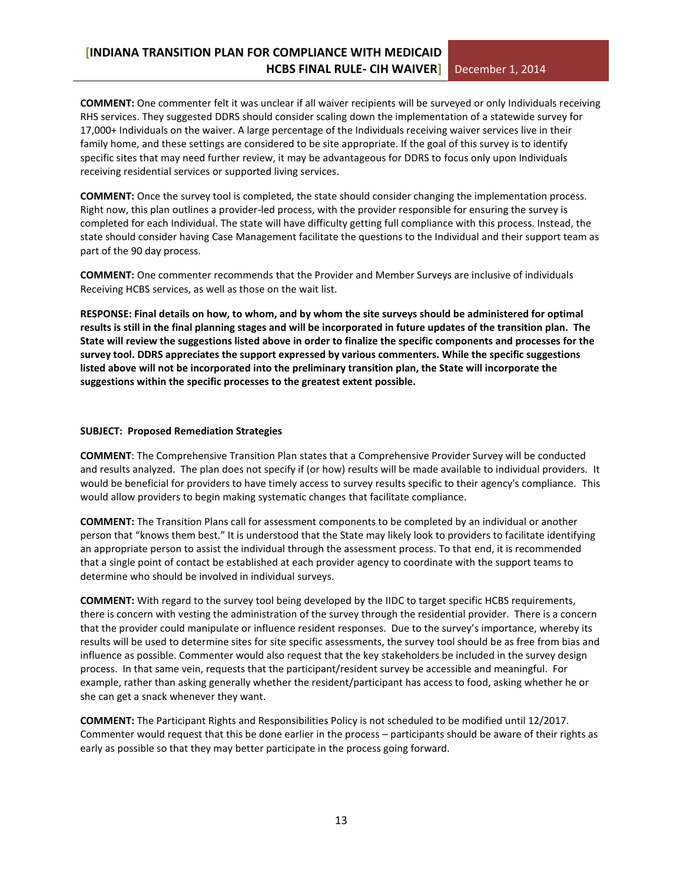**COMMENT:** One commenter felt it was unclear if all waiver recipients will be surveyed or only Individuals receiving RHS services. They suggested DDRS should consider scaling down the implementation of a statewide survey for 17,000+ Individuals on the waiver. A large percentage of the Individuals receiving waiver services live in their family home, and these settings are considered to be site appropriate. If the goal of this survey is to identify specific sites that may need further review, it may be advantageous for DDRS to focus only upon Individuals receiving residential services or supported living services.

**COMMENT:** Once the survey tool is completed, the state should consider changing the implementation process. Right now, this plan outlines a provider-led process, with the provider responsible for ensuring the survey is completed for each Individual. The state will have difficulty getting full compliance with this process. Instead, the state should consider having Case Management facilitate the questions to the Individual and their support team as part of the 90 day process.

**COMMENT:** One commenter recommends that the Provider and Member Surveys are inclusive of individuals Receiving HCBS services, as well as those on the wait list.

**RESPONSE: Final details on how, to whom, and by whom the site surveys should be administered for optimal results is still in the final planning stages and will be incorporated in future updates of the transition plan. The State will review the suggestions listed above in order to finalize the specific components and processes for the survey tool. DDRS appreciates the support expressed by various commenters. While the specific suggestions listed above will not be incorporated into the preliminary transition plan, the State will incorporate the suggestions within the specific processes to the greatest extent possible.** 

#### **SUBJECT: Proposed Remediation Strategies**

**COMMENT**: The Comprehensive Transition Plan states that a Comprehensive Provider Survey will be conducted and results analyzed. The plan does not specify if (or how) results will be made available to individual providers. It would be beneficial for providers to have timely access to survey results specific to their agency's compliance. This would allow providers to begin making systematic changes that facilitate compliance.

**COMMENT:** The Transition Plans call for assessment components to be completed by an individual or another person that "knows them best." It is understood that the State may likely look to providers to facilitate identifying an appropriate person to assist the individual through the assessment process. To that end, it is recommended that a single point of contact be established at each provider agency to coordinate with the support teams to determine who should be involved in individual surveys.

**COMMENT:** With regard to the survey tool being developed by the IIDC to target specific HCBS requirements, there is concern with vesting the administration of the survey through the residential provider. There is a concern that the provider could manipulate or influence resident responses. Due to the survey's importance, whereby its results will be used to determine sites for site specific assessments, the survey tool should be as free from bias and influence as possible. Commenter would also request that the key stakeholders be included in the survey design process. In that same vein, requests that the participant/resident survey be accessible and meaningful. For example, rather than asking generally whether the resident/participant has access to food, asking whether he or she can get a snack whenever they want.

**COMMENT:** The Participant Rights and Responsibilities Policy is not scheduled to be modified until 12/2017. Commenter would request that this be done earlier in the process – participants should be aware of their rights as early as possible so that they may better participate in the process going forward.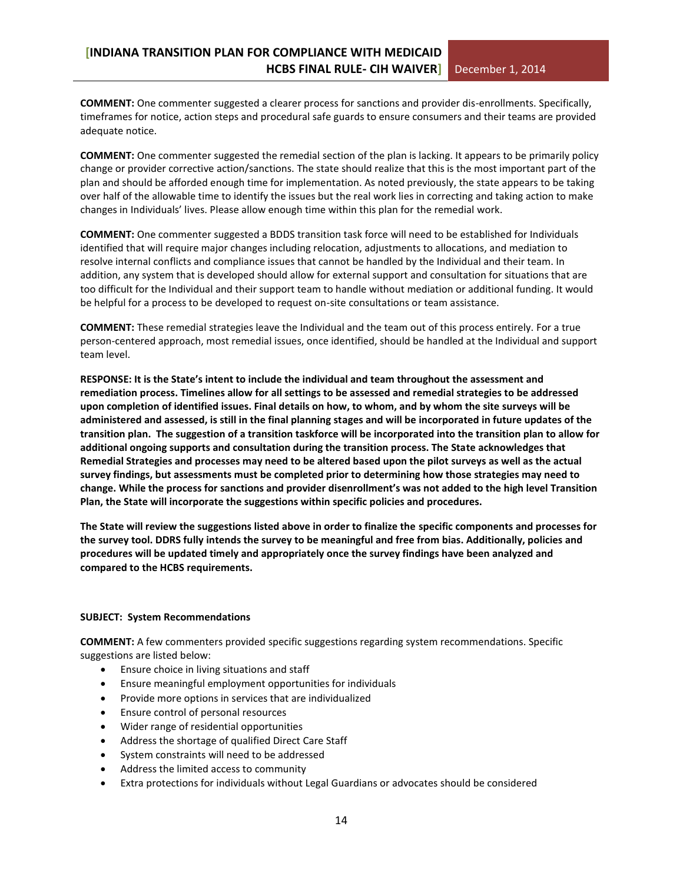**COMMENT:** One commenter suggested a clearer process for sanctions and provider dis-enrollments. Specifically, timeframes for notice, action steps and procedural safe guards to ensure consumers and their teams are provided adequate notice.

**COMMENT:** One commenter suggested the remedial section of the plan is lacking. It appears to be primarily policy change or provider corrective action/sanctions. The state should realize that this is the most important part of the plan and should be afforded enough time for implementation. As noted previously, the state appears to be taking over half of the allowable time to identify the issues but the real work lies in correcting and taking action to make changes in Individuals' lives. Please allow enough time within this plan for the remedial work.

**COMMENT:** One commenter suggested a BDDS transition task force will need to be established for Individuals identified that will require major changes including relocation, adjustments to allocations, and mediation to resolve internal conflicts and compliance issues that cannot be handled by the Individual and their team. In addition, any system that is developed should allow for external support and consultation for situations that are too difficult for the Individual and their support team to handle without mediation or additional funding. It would be helpful for a process to be developed to request on-site consultations or team assistance.

**COMMENT:** These remedial strategies leave the Individual and the team out of this process entirely. For a true person-centered approach, most remedial issues, once identified, should be handled at the Individual and support team level.

**RESPONSE: It is the State's intent to include the individual and team throughout the assessment and remediation process. Timelines allow for all settings to be assessed and remedial strategies to be addressed upon completion of identified issues. Final details on how, to whom, and by whom the site surveys will be administered and assessed, is still in the final planning stages and will be incorporated in future updates of the transition plan. The suggestion of a transition taskforce will be incorporated into the transition plan to allow for additional ongoing supports and consultation during the transition process. The State acknowledges that Remedial Strategies and processes may need to be altered based upon the pilot surveys as well as the actual survey findings, but assessments must be completed prior to determining how those strategies may need to change. While the process for sanctions and provider disenrollment's was not added to the high level Transition Plan, the State will incorporate the suggestions within specific policies and procedures.**

**The State will review the suggestions listed above in order to finalize the specific components and processes for the survey tool. DDRS fully intends the survey to be meaningful and free from bias. Additionally, policies and procedures will be updated timely and appropriately once the survey findings have been analyzed and compared to the HCBS requirements.** 

#### **SUBJECT: System Recommendations**

**COMMENT:** A few commenters provided specific suggestions regarding system recommendations. Specific suggestions are listed below:

- Ensure choice in living situations and staff
- Ensure meaningful employment opportunities for individuals
- Provide more options in services that are individualized
- Ensure control of personal resources
- Wider range of residential opportunities
- Address the shortage of qualified Direct Care Staff
- System constraints will need to be addressed
- Address the limited access to community
- Extra protections for individuals without Legal Guardians or advocates should be considered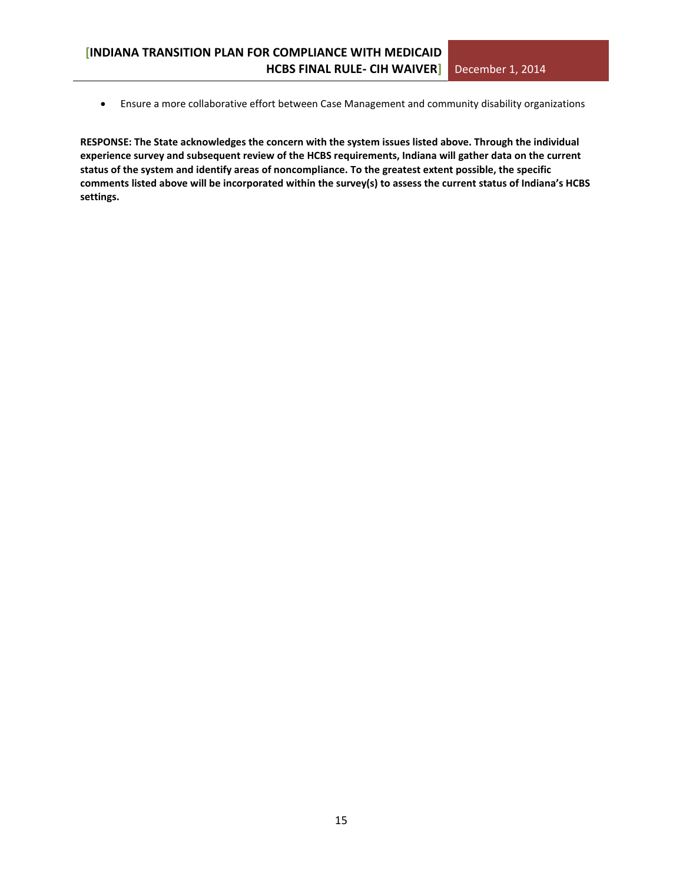Ensure a more collaborative effort between Case Management and community disability organizations

**RESPONSE: The State acknowledges the concern with the system issues listed above. Through the individual experience survey and subsequent review of the HCBS requirements, Indiana will gather data on the current status of the system and identify areas of noncompliance. To the greatest extent possible, the specific comments listed above will be incorporated within the survey(s) to assess the current status of Indiana's HCBS settings.**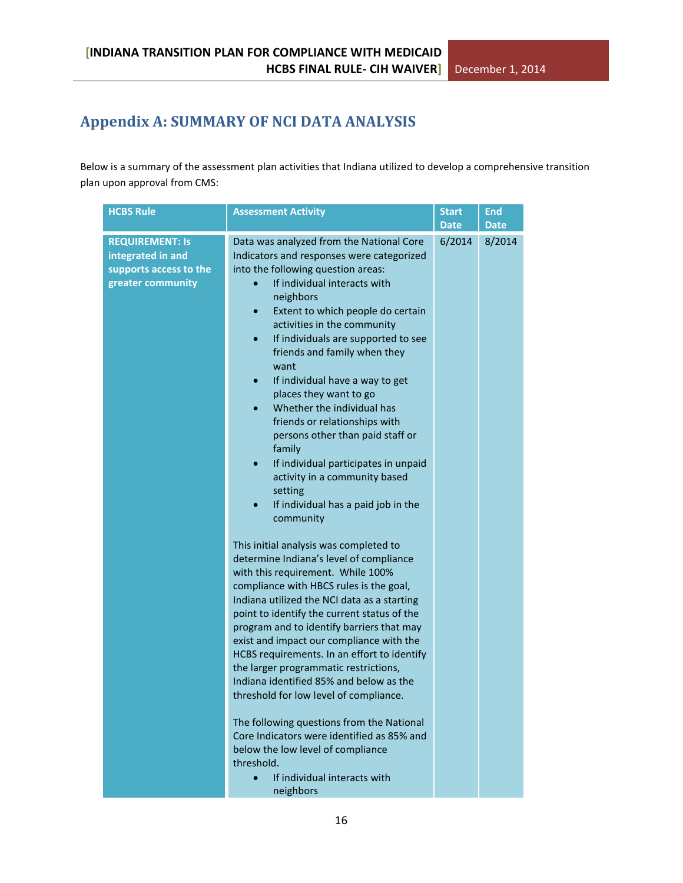## <span id="page-15-0"></span>**Appendix A: SUMMARY OF NCI DATA ANALYSIS**

Below is a summary of the assessment plan activities that Indiana utilized to develop a comprehensive transition plan upon approval from CMS:

| <b>HCBS Rule</b>                                                                           | <b>Assessment Activity</b>                                                                                                                                                                                                                                                                                                                                                                                                                                                                                                                                                                                                                                                                                                                                                                                                                                                                                                                                                                                                                                                                                                                                                                                                                                                                                                                                                                                                            | <b>Start</b><br><b>Date</b> | <b>End</b><br><b>Date</b> |
|--------------------------------------------------------------------------------------------|---------------------------------------------------------------------------------------------------------------------------------------------------------------------------------------------------------------------------------------------------------------------------------------------------------------------------------------------------------------------------------------------------------------------------------------------------------------------------------------------------------------------------------------------------------------------------------------------------------------------------------------------------------------------------------------------------------------------------------------------------------------------------------------------------------------------------------------------------------------------------------------------------------------------------------------------------------------------------------------------------------------------------------------------------------------------------------------------------------------------------------------------------------------------------------------------------------------------------------------------------------------------------------------------------------------------------------------------------------------------------------------------------------------------------------------|-----------------------------|---------------------------|
| <b>REQUIREMENT: Is</b><br>integrated in and<br>supports access to the<br>greater community | Data was analyzed from the National Core<br>Indicators and responses were categorized<br>into the following question areas:<br>If individual interacts with<br>neighbors<br>Extent to which people do certain<br>$\bullet$<br>activities in the community<br>If individuals are supported to see<br>$\bullet$<br>friends and family when they<br>want<br>If individual have a way to get<br>$\bullet$<br>places they want to go<br>Whether the individual has<br>friends or relationships with<br>persons other than paid staff or<br>family<br>If individual participates in unpaid<br>$\bullet$<br>activity in a community based<br>setting<br>If individual has a paid job in the<br>community<br>This initial analysis was completed to<br>determine Indiana's level of compliance<br>with this requirement. While 100%<br>compliance with HBCS rules is the goal,<br>Indiana utilized the NCI data as a starting<br>point to identify the current status of the<br>program and to identify barriers that may<br>exist and impact our compliance with the<br>HCBS requirements. In an effort to identify<br>the larger programmatic restrictions,<br>Indiana identified 85% and below as the<br>threshold for low level of compliance.<br>The following questions from the National<br>Core Indicators were identified as 85% and<br>below the low level of compliance<br>threshold.<br>If individual interacts with<br>neighbors | 6/2014                      | 8/2014                    |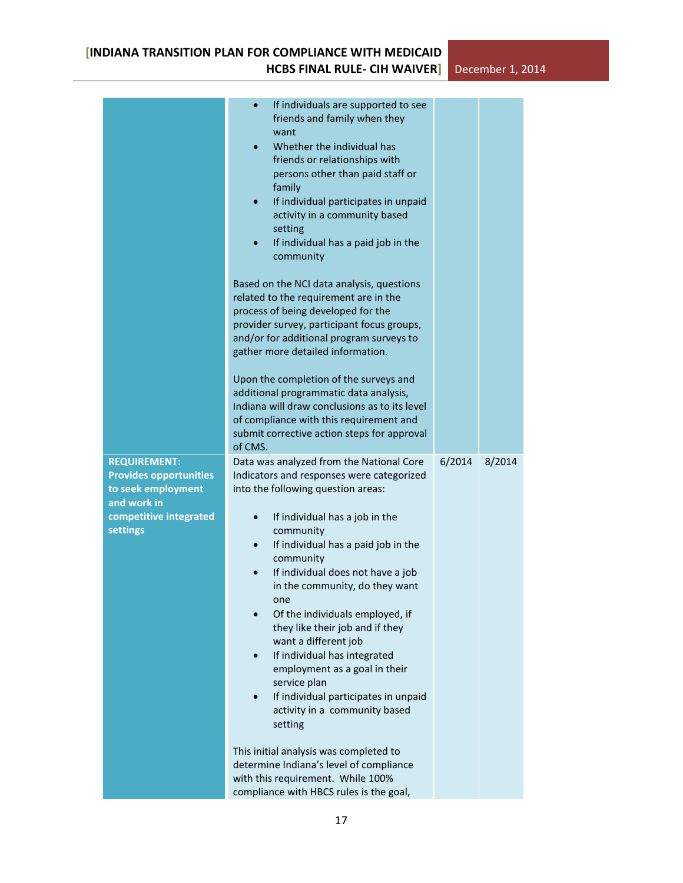|                                                                                                                                 | If individuals are supported to see<br>$\bullet$<br>friends and family when they<br>want<br>Whether the individual has<br>$\bullet$<br>friends or relationships with<br>persons other than paid staff or<br>family<br>If individual participates in unpaid<br>$\bullet$<br>activity in a community based<br>setting<br>If individual has a paid job in the<br>community<br>Based on the NCI data analysis, questions<br>related to the requirement are in the<br>process of being developed for the<br>provider survey, participant focus groups,<br>and/or for additional program surveys to<br>gather more detailed information.<br>Upon the completion of the surveys and<br>additional programmatic data analysis,<br>Indiana will draw conclusions as to its level<br>of compliance with this requirement and<br>submit corrective action steps for approval<br>of CMS. |        |        |
|---------------------------------------------------------------------------------------------------------------------------------|------------------------------------------------------------------------------------------------------------------------------------------------------------------------------------------------------------------------------------------------------------------------------------------------------------------------------------------------------------------------------------------------------------------------------------------------------------------------------------------------------------------------------------------------------------------------------------------------------------------------------------------------------------------------------------------------------------------------------------------------------------------------------------------------------------------------------------------------------------------------------|--------|--------|
| <b>REQUIREMENT:</b><br><b>Provides opportunities</b><br>to seek employment<br>and work in<br>competitive integrated<br>settings | Data was analyzed from the National Core<br>Indicators and responses were categorized<br>into the following question areas:<br>If individual has a job in the<br>$\bullet$<br>community<br>If individual has a paid job in the<br>$\bullet$<br>community<br>If individual does not have a job<br>$\bullet$<br>in the community, do they want<br>one<br>Of the individuals employed, if<br>they like their job and if they<br>want a different job<br>If individual has integrated<br>$\bullet$<br>employment as a goal in their<br>service plan<br>If individual participates in unpaid<br>$\bullet$<br>activity in a community based<br>setting<br>This initial analysis was completed to<br>determine Indiana's level of compliance<br>with this requirement. While 100%<br>compliance with HBCS rules is the goal,                                                        | 6/2014 | 8/2014 |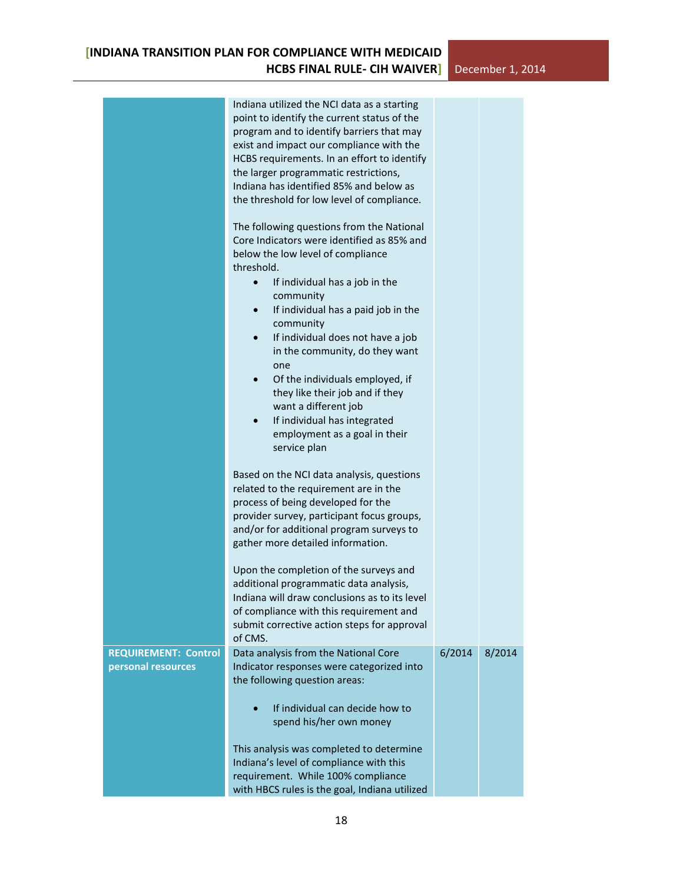|                                                   | Indiana utilized the NCI data as a starting<br>point to identify the current status of the<br>program and to identify barriers that may<br>exist and impact our compliance with the<br>HCBS requirements. In an effort to identify<br>the larger programmatic restrictions,<br>Indiana has identified 85% and below as<br>the threshold for low level of compliance.<br>The following questions from the National<br>Core Indicators were identified as 85% and<br>below the low level of compliance<br>threshold.<br>If individual has a job in the<br>$\bullet$<br>community<br>If individual has a paid job in the<br>$\bullet$<br>community<br>If individual does not have a job<br>$\bullet$<br>in the community, do they want<br>one<br>Of the individuals employed, if<br>$\bullet$<br>they like their job and if they<br>want a different job<br>If individual has integrated<br>$\bullet$ |        |        |  |
|---------------------------------------------------|----------------------------------------------------------------------------------------------------------------------------------------------------------------------------------------------------------------------------------------------------------------------------------------------------------------------------------------------------------------------------------------------------------------------------------------------------------------------------------------------------------------------------------------------------------------------------------------------------------------------------------------------------------------------------------------------------------------------------------------------------------------------------------------------------------------------------------------------------------------------------------------------------|--------|--------|--|
|                                                   | employment as a goal in their<br>service plan<br>Based on the NCI data analysis, questions                                                                                                                                                                                                                                                                                                                                                                                                                                                                                                                                                                                                                                                                                                                                                                                                         |        |        |  |
|                                                   | related to the requirement are in the<br>process of being developed for the<br>provider survey, participant focus groups,<br>and/or for additional program surveys to<br>gather more detailed information.                                                                                                                                                                                                                                                                                                                                                                                                                                                                                                                                                                                                                                                                                         |        |        |  |
|                                                   | Upon the completion of the surveys and<br>additional programmatic data analysis,<br>Indiana will draw conclusions as to its level<br>of compliance with this requirement and<br>submit corrective action steps for approval<br>of CMS.                                                                                                                                                                                                                                                                                                                                                                                                                                                                                                                                                                                                                                                             |        |        |  |
| <b>REQUIREMENT: Control</b><br>personal resources | Data analysis from the National Core<br>Indicator responses were categorized into<br>the following question areas:                                                                                                                                                                                                                                                                                                                                                                                                                                                                                                                                                                                                                                                                                                                                                                                 | 6/2014 | 8/2014 |  |
|                                                   | If individual can decide how to<br>$\bullet$<br>spend his/her own money                                                                                                                                                                                                                                                                                                                                                                                                                                                                                                                                                                                                                                                                                                                                                                                                                            |        |        |  |
|                                                   | This analysis was completed to determine<br>Indiana's level of compliance with this<br>requirement. While 100% compliance<br>with HBCS rules is the goal, Indiana utilized                                                                                                                                                                                                                                                                                                                                                                                                                                                                                                                                                                                                                                                                                                                         |        |        |  |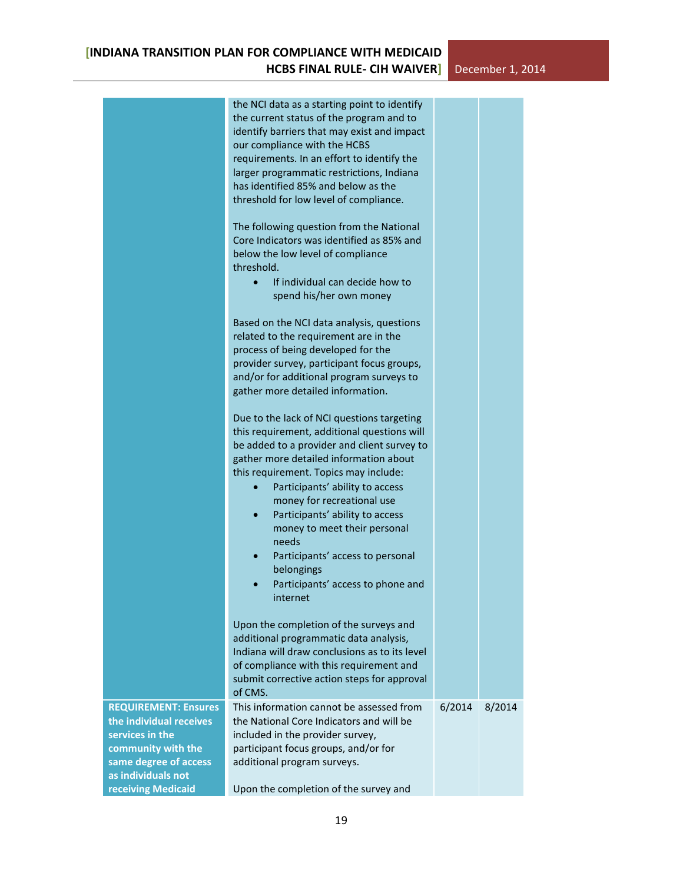|                                                                                                                                                | the NCI data as a starting point to identify<br>the current status of the program and to<br>identify barriers that may exist and impact<br>our compliance with the HCBS<br>requirements. In an effort to identify the<br>larger programmatic restrictions, Indiana<br>has identified 85% and below as the<br>threshold for low level of compliance.                          |        |        |
|------------------------------------------------------------------------------------------------------------------------------------------------|------------------------------------------------------------------------------------------------------------------------------------------------------------------------------------------------------------------------------------------------------------------------------------------------------------------------------------------------------------------------------|--------|--------|
|                                                                                                                                                | The following question from the National<br>Core Indicators was identified as 85% and<br>below the low level of compliance<br>threshold.<br>If individual can decide how to<br>$\bullet$<br>spend his/her own money                                                                                                                                                          |        |        |
|                                                                                                                                                | Based on the NCI data analysis, questions<br>related to the requirement are in the<br>process of being developed for the<br>provider survey, participant focus groups,<br>and/or for additional program surveys to<br>gather more detailed information.                                                                                                                      |        |        |
|                                                                                                                                                | Due to the lack of NCI questions targeting<br>this requirement, additional questions will<br>be added to a provider and client survey to<br>gather more detailed information about<br>this requirement. Topics may include:<br>Participants' ability to access<br>money for recreational use<br>Participants' ability to access<br>$\bullet$<br>money to meet their personal |        |        |
|                                                                                                                                                | needs<br>Participants' access to personal<br>belongings<br>Participants' access to phone and<br>internet                                                                                                                                                                                                                                                                     |        |        |
|                                                                                                                                                | Upon the completion of the surveys and<br>additional programmatic data analysis,<br>Indiana will draw conclusions as to its level<br>of compliance with this requirement and<br>submit corrective action steps for approval<br>of CMS.                                                                                                                                       |        |        |
| <b>REQUIREMENT: Ensures</b><br>the individual receives<br>services in the<br>community with the<br>same degree of access<br>as individuals not | This information cannot be assessed from<br>the National Core Indicators and will be<br>included in the provider survey,<br>participant focus groups, and/or for<br>additional program surveys.                                                                                                                                                                              | 6/2014 | 8/2014 |
| receiving Medicaid                                                                                                                             | Upon the completion of the survey and                                                                                                                                                                                                                                                                                                                                        |        |        |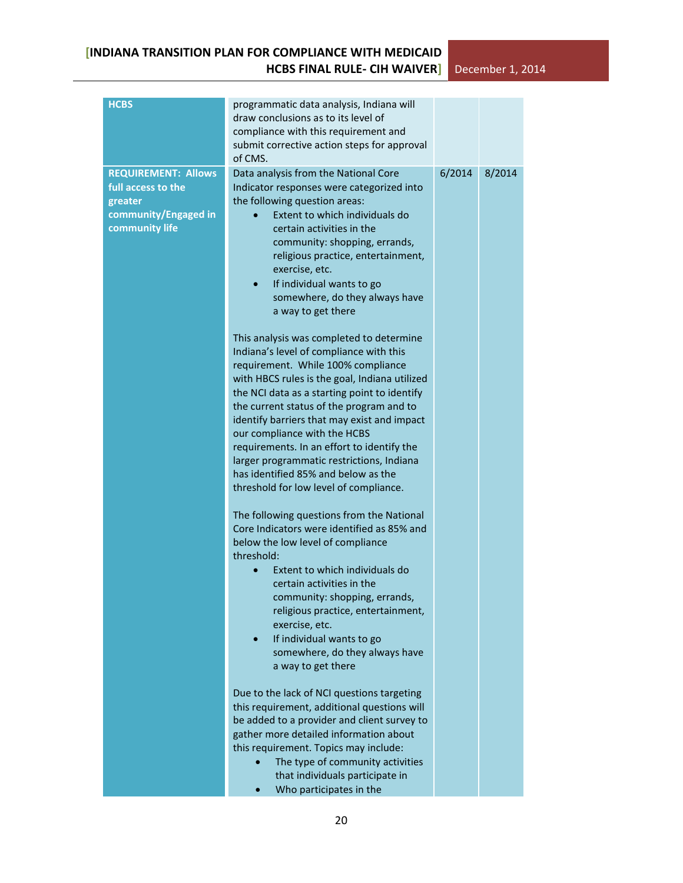| <b>HCBS</b>                                                                                           | programmatic data analysis, Indiana will                                                                                                                                                                                                                                                                                                                                                                                                                            |        |        |
|-------------------------------------------------------------------------------------------------------|---------------------------------------------------------------------------------------------------------------------------------------------------------------------------------------------------------------------------------------------------------------------------------------------------------------------------------------------------------------------------------------------------------------------------------------------------------------------|--------|--------|
|                                                                                                       | draw conclusions as to its level of                                                                                                                                                                                                                                                                                                                                                                                                                                 |        |        |
|                                                                                                       | compliance with this requirement and<br>submit corrective action steps for approval                                                                                                                                                                                                                                                                                                                                                                                 |        |        |
|                                                                                                       | of CMS.                                                                                                                                                                                                                                                                                                                                                                                                                                                             |        |        |
| <b>REQUIREMENT: Allows</b><br>full access to the<br>greater<br>community/Engaged in<br>community life | Data analysis from the National Core<br>Indicator responses were categorized into<br>the following question areas:<br>Extent to which individuals do<br>certain activities in the<br>community: shopping, errands,<br>religious practice, entertainment,<br>exercise, etc.<br>If individual wants to go<br>$\bullet$<br>somewhere, do they always have<br>a way to get there<br>This analysis was completed to determine<br>Indiana's level of compliance with this | 6/2014 | 8/2014 |
|                                                                                                       | requirement. While 100% compliance<br>with HBCS rules is the goal, Indiana utilized<br>the NCI data as a starting point to identify<br>the current status of the program and to<br>identify barriers that may exist and impact<br>our compliance with the HCBS<br>requirements. In an effort to identify the<br>larger programmatic restrictions, Indiana                                                                                                           |        |        |
|                                                                                                       | has identified 85% and below as the<br>threshold for low level of compliance.                                                                                                                                                                                                                                                                                                                                                                                       |        |        |
|                                                                                                       | The following questions from the National<br>Core Indicators were identified as 85% and<br>below the low level of compliance<br>threshold:                                                                                                                                                                                                                                                                                                                          |        |        |
|                                                                                                       | Extent to which individuals do<br>certain activities in the<br>community: shopping, errands,<br>religious practice, entertainment,<br>exercise, etc.<br>If individual wants to go<br>somewhere, do they always have                                                                                                                                                                                                                                                 |        |        |
|                                                                                                       | a way to get there<br>Due to the lack of NCI questions targeting<br>this requirement, additional questions will<br>be added to a provider and client survey to<br>gather more detailed information about<br>this requirement. Topics may include:<br>The type of community activities<br>that individuals participate in<br>Who participates in the                                                                                                                 |        |        |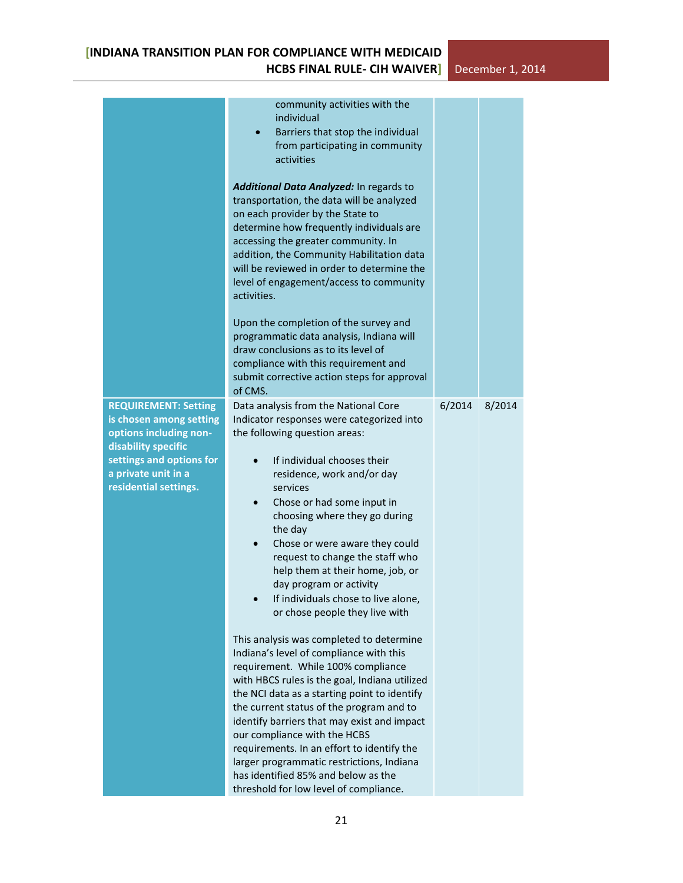|                                                                                                                                                                                     | community activities with the<br>individual<br>Barriers that stop the individual<br>$\bullet$<br>from participating in community<br>activities<br>Additional Data Analyzed: In regards to<br>transportation, the data will be analyzed<br>on each provider by the State to<br>determine how frequently individuals are<br>accessing the greater community. In<br>addition, the Community Habilitation data<br>will be reviewed in order to determine the<br>level of engagement/access to community<br>activities.<br>Upon the completion of the survey and<br>programmatic data analysis, Indiana will<br>draw conclusions as to its level of<br>compliance with this requirement and<br>submit corrective action steps for approval<br>of CMS.                                                                                                                                                                                                                                                                        |        |        |
|-------------------------------------------------------------------------------------------------------------------------------------------------------------------------------------|-------------------------------------------------------------------------------------------------------------------------------------------------------------------------------------------------------------------------------------------------------------------------------------------------------------------------------------------------------------------------------------------------------------------------------------------------------------------------------------------------------------------------------------------------------------------------------------------------------------------------------------------------------------------------------------------------------------------------------------------------------------------------------------------------------------------------------------------------------------------------------------------------------------------------------------------------------------------------------------------------------------------------|--------|--------|
| <b>REQUIREMENT: Setting</b><br>is chosen among setting<br>options including non-<br>disability specific<br>settings and options for<br>a private unit in a<br>residential settings. | Data analysis from the National Core<br>Indicator responses were categorized into<br>the following question areas:<br>If individual chooses their<br>residence, work and/or day<br>services<br>Chose or had some input in<br>choosing where they go during<br>the day<br>Chose or were aware they could<br>request to change the staff who<br>help them at their home, job, or<br>day program or activity<br>If individuals chose to live alone,<br>or chose people they live with<br>This analysis was completed to determine<br>Indiana's level of compliance with this<br>requirement. While 100% compliance<br>with HBCS rules is the goal, Indiana utilized<br>the NCI data as a starting point to identify<br>the current status of the program and to<br>identify barriers that may exist and impact<br>our compliance with the HCBS<br>requirements. In an effort to identify the<br>larger programmatic restrictions, Indiana<br>has identified 85% and below as the<br>threshold for low level of compliance. | 6/2014 | 8/2014 |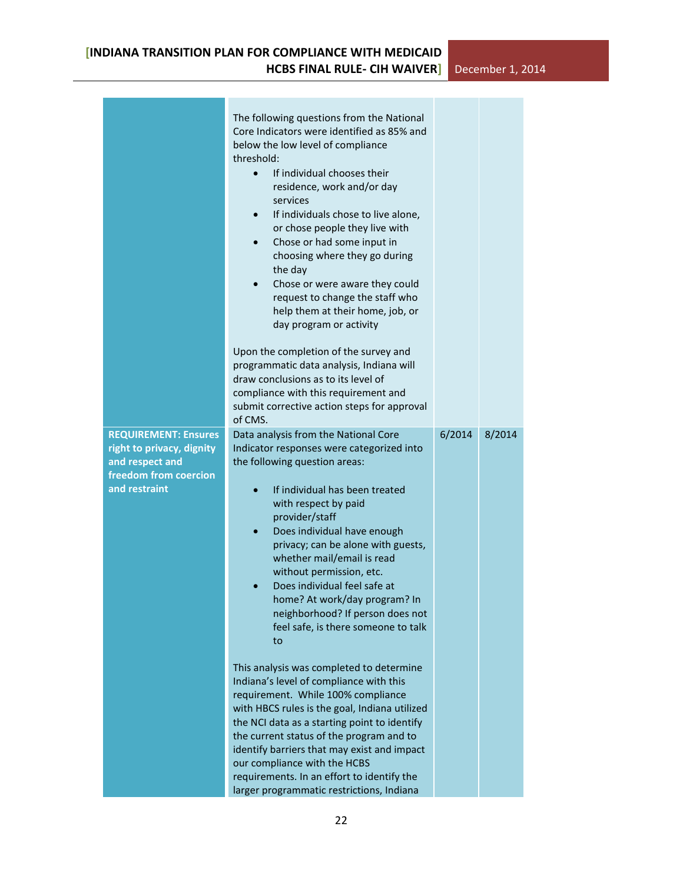$\mathcal{L}^{\text{max}}$ 

| <b>REQUIREMENT: Ensures</b><br>right to privacy, dignity<br>and respect and<br>freedom from coercion<br>and restraint | The following questions from the National<br>Core Indicators were identified as 85% and<br>below the low level of compliance<br>threshold:<br>If individual chooses their<br>$\bullet$<br>residence, work and/or day<br>services<br>If individuals chose to live alone,<br>$\bullet$<br>or chose people they live with<br>Chose or had some input in<br>$\bullet$<br>choosing where they go during<br>the day<br>Chose or were aware they could<br>$\bullet$<br>request to change the staff who<br>help them at their home, job, or<br>day program or activity<br>Upon the completion of the survey and<br>programmatic data analysis, Indiana will<br>draw conclusions as to its level of<br>compliance with this requirement and<br>submit corrective action steps for approval<br>of CMS.<br>Data analysis from the National Core<br>Indicator responses were categorized into<br>the following question areas:<br>If individual has been treated<br>with respect by paid<br>provider/staff<br>Does individual have enough<br>$\bullet$<br>privacy; can be alone with guests,<br>whether mail/email is read<br>without permission, etc.<br>Does individual feel safe at<br>home? At work/day program? In | 6/2014 | 8/2014 |
|-----------------------------------------------------------------------------------------------------------------------|-------------------------------------------------------------------------------------------------------------------------------------------------------------------------------------------------------------------------------------------------------------------------------------------------------------------------------------------------------------------------------------------------------------------------------------------------------------------------------------------------------------------------------------------------------------------------------------------------------------------------------------------------------------------------------------------------------------------------------------------------------------------------------------------------------------------------------------------------------------------------------------------------------------------------------------------------------------------------------------------------------------------------------------------------------------------------------------------------------------------------------------------------------------------------------------------------------------|--------|--------|
|                                                                                                                       | neighborhood? If person does not<br>feel safe, is there someone to talk<br>to                                                                                                                                                                                                                                                                                                                                                                                                                                                                                                                                                                                                                                                                                                                                                                                                                                                                                                                                                                                                                                                                                                                               |        |        |
|                                                                                                                       | This analysis was completed to determine<br>Indiana's level of compliance with this<br>requirement. While 100% compliance<br>with HBCS rules is the goal, Indiana utilized<br>the NCI data as a starting point to identify<br>the current status of the program and to<br>identify barriers that may exist and impact<br>our compliance with the HCBS<br>requirements. In an effort to identify the<br>larger programmatic restrictions, Indiana                                                                                                                                                                                                                                                                                                                                                                                                                                                                                                                                                                                                                                                                                                                                                            |        |        |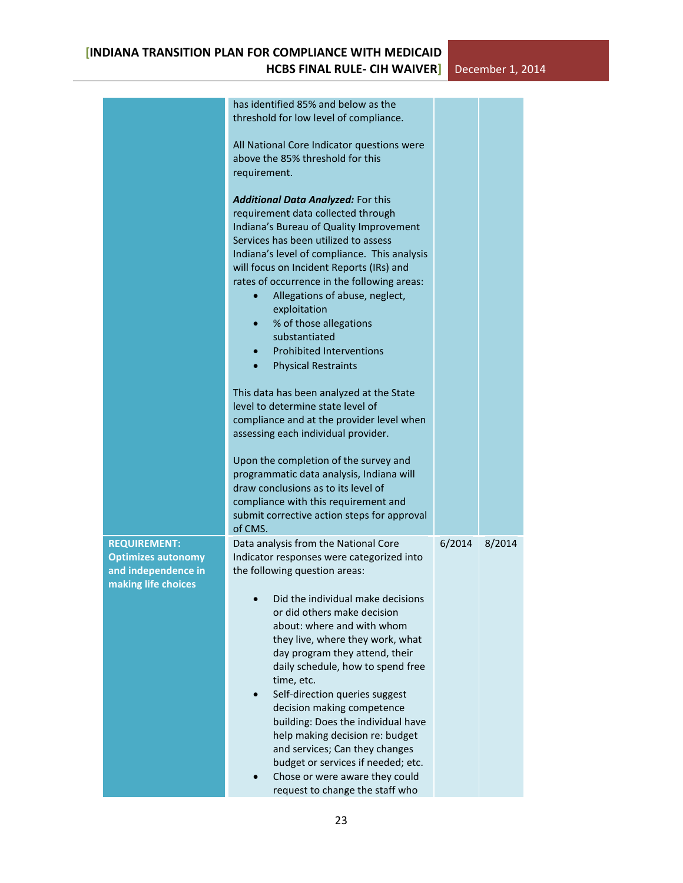|                                                                                                | has identified 85% and below as the<br>threshold for low level of compliance.<br>All National Core Indicator questions were<br>above the 85% threshold for this<br>requirement.                                                                                                                                                                                                                                                                                                                                                                                                                                                                                                                                                                                                                 |        |        |  |
|------------------------------------------------------------------------------------------------|-------------------------------------------------------------------------------------------------------------------------------------------------------------------------------------------------------------------------------------------------------------------------------------------------------------------------------------------------------------------------------------------------------------------------------------------------------------------------------------------------------------------------------------------------------------------------------------------------------------------------------------------------------------------------------------------------------------------------------------------------------------------------------------------------|--------|--------|--|
|                                                                                                | Additional Data Analyzed: For this<br>requirement data collected through<br>Indiana's Bureau of Quality Improvement<br>Services has been utilized to assess<br>Indiana's level of compliance. This analysis<br>will focus on Incident Reports (IRs) and<br>rates of occurrence in the following areas:<br>Allegations of abuse, neglect,<br>$\bullet$<br>exploitation<br>% of those allegations<br>$\bullet$<br>substantiated<br><b>Prohibited Interventions</b><br><b>Physical Restraints</b><br>This data has been analyzed at the State<br>level to determine state level of<br>compliance and at the provider level when<br>assessing each individual provider.<br>Upon the completion of the survey and<br>programmatic data analysis, Indiana will<br>draw conclusions as to its level of |        |        |  |
|                                                                                                | compliance with this requirement and<br>submit corrective action steps for approval<br>of CMS.                                                                                                                                                                                                                                                                                                                                                                                                                                                                                                                                                                                                                                                                                                  |        |        |  |
| <b>REQUIREMENT:</b><br><b>Optimizes autonomy</b><br>and independence in<br>making life choices | Data analysis from the National Core<br>Indicator responses were categorized into<br>the following question areas:<br>Did the individual make decisions<br>or did others make decision<br>about: where and with whom<br>they live, where they work, what<br>day program they attend, their<br>daily schedule, how to spend free<br>time, etc.<br>Self-direction queries suggest<br>decision making competence<br>building: Does the individual have<br>help making decision re: budget<br>and services; Can they changes<br>budget or services if needed; etc.<br>Chose or were aware they could<br>request to change the staff who                                                                                                                                                             | 6/2014 | 8/2014 |  |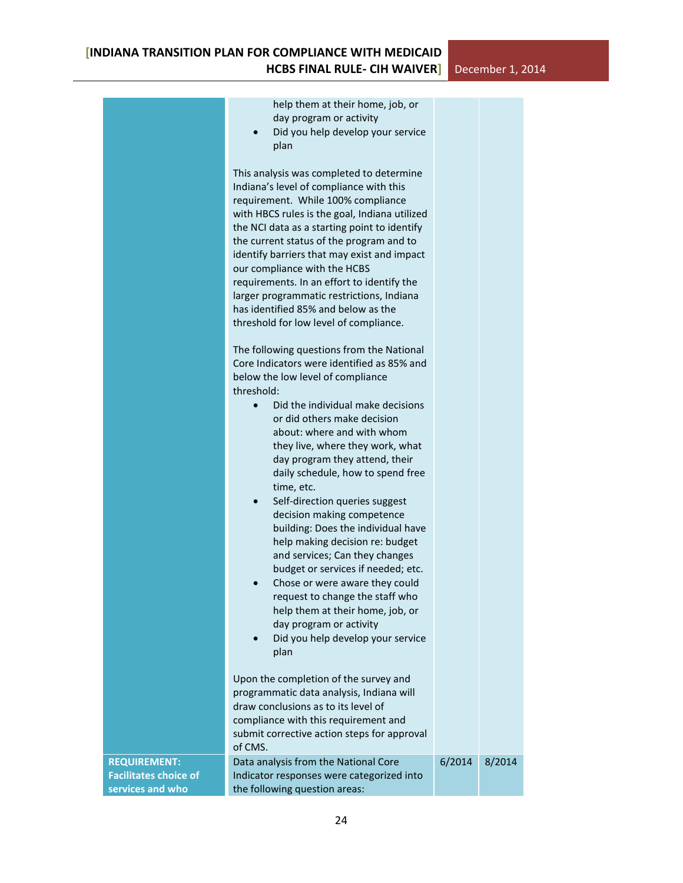|                                                                         | help them at their home, job, or<br>day program or activity<br>Did you help develop your service<br>plan                                                                                                                                                                                                                                                                                                                                                                                                                                                                                                                                            |        |        |
|-------------------------------------------------------------------------|-----------------------------------------------------------------------------------------------------------------------------------------------------------------------------------------------------------------------------------------------------------------------------------------------------------------------------------------------------------------------------------------------------------------------------------------------------------------------------------------------------------------------------------------------------------------------------------------------------------------------------------------------------|--------|--------|
|                                                                         | This analysis was completed to determine<br>Indiana's level of compliance with this<br>requirement. While 100% compliance<br>with HBCS rules is the goal, Indiana utilized<br>the NCI data as a starting point to identify<br>the current status of the program and to<br>identify barriers that may exist and impact<br>our compliance with the HCBS<br>requirements. In an effort to identify the<br>larger programmatic restrictions, Indiana<br>has identified 85% and below as the<br>threshold for low level of compliance.                                                                                                                   |        |        |
|                                                                         | The following questions from the National<br>Core Indicators were identified as 85% and<br>below the low level of compliance<br>threshold:                                                                                                                                                                                                                                                                                                                                                                                                                                                                                                          |        |        |
|                                                                         | Did the individual make decisions<br>$\bullet$<br>or did others make decision<br>about: where and with whom<br>they live, where they work, what<br>day program they attend, their<br>daily schedule, how to spend free<br>time, etc.<br>Self-direction queries suggest<br>$\bullet$<br>decision making competence<br>building: Does the individual have<br>help making decision re: budget<br>and services; Can they changes<br>budget or services if needed; etc.<br>Chose or were aware they could<br>request to change the staff who<br>help them at their home, job, or<br>day program or activity<br>Did you help develop your service<br>plan |        |        |
|                                                                         | Upon the completion of the survey and<br>programmatic data analysis, Indiana will<br>draw conclusions as to its level of<br>compliance with this requirement and<br>submit corrective action steps for approval<br>of CMS.                                                                                                                                                                                                                                                                                                                                                                                                                          |        |        |
| <b>REQUIREMENT:</b><br><b>Facilitates choice of</b><br>services and who | Data analysis from the National Core<br>Indicator responses were categorized into<br>the following question areas:                                                                                                                                                                                                                                                                                                                                                                                                                                                                                                                                  | 6/2014 | 8/2014 |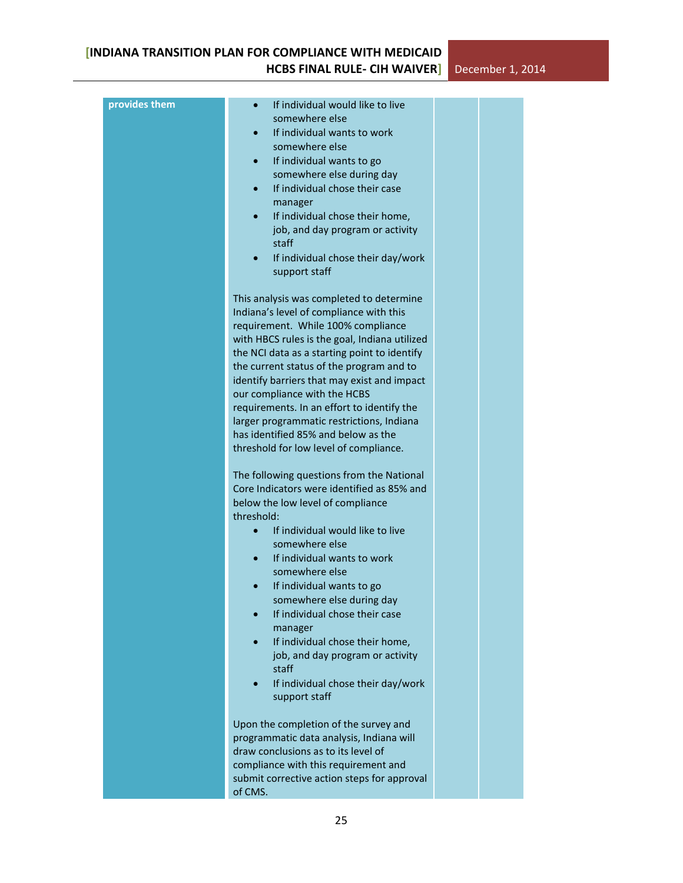| provides them | If individual would like to live<br>somewhere else<br>If individual wants to work<br>somewhere else<br>If individual wants to go<br>somewhere else during day<br>If individual chose their case<br>manager<br>If individual chose their home,<br>job, and day program or activity<br>staff<br>If individual chose their day/work<br>$\bullet$<br>support staff                                                                                                                                                                    |  |
|---------------|-----------------------------------------------------------------------------------------------------------------------------------------------------------------------------------------------------------------------------------------------------------------------------------------------------------------------------------------------------------------------------------------------------------------------------------------------------------------------------------------------------------------------------------|--|
|               | This analysis was completed to determine<br>Indiana's level of compliance with this<br>requirement. While 100% compliance<br>with HBCS rules is the goal, Indiana utilized<br>the NCI data as a starting point to identify<br>the current status of the program and to<br>identify barriers that may exist and impact<br>our compliance with the HCBS<br>requirements. In an effort to identify the<br>larger programmatic restrictions, Indiana<br>has identified 85% and below as the<br>threshold for low level of compliance. |  |
|               | The following questions from the National<br>Core Indicators were identified as 85% and<br>below the low level of compliance<br>threshold:<br>If individual would like to live<br>$\bullet$<br>somewhere else<br>If individual wants to work<br>somewhere else<br>If individual wants to go<br>somewhere else during day<br>If individual chose their case<br>manager<br>If individual chose their home,<br>job, and day program or activity<br>staff<br>If individual chose their day/work<br>support staff                      |  |
|               | Upon the completion of the survey and<br>programmatic data analysis, Indiana will<br>draw conclusions as to its level of<br>compliance with this requirement and<br>submit corrective action steps for approval<br>of CMS.                                                                                                                                                                                                                                                                                                        |  |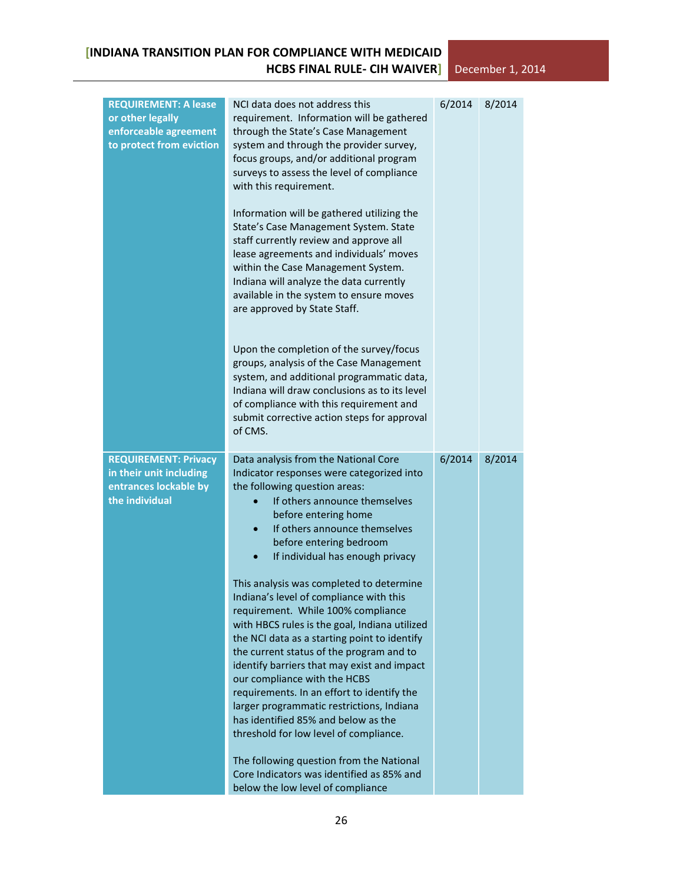| <b>REQUIREMENT: A lease</b><br>or other legally<br>enforceable agreement<br>to protect from eviction | NCI data does not address this<br>requirement. Information will be gathered<br>through the State's Case Management<br>system and through the provider survey,<br>focus groups, and/or additional program<br>surveys to assess the level of compliance<br>with this requirement.<br>Information will be gathered utilizing the<br>State's Case Management System. State<br>staff currently review and approve all<br>lease agreements and individuals' moves<br>within the Case Management System.<br>Indiana will analyze the data currently<br>available in the system to ensure moves<br>are approved by State Staff.<br>Upon the completion of the survey/focus<br>groups, analysis of the Case Management<br>system, and additional programmatic data,<br>Indiana will draw conclusions as to its level<br>of compliance with this requirement and<br>submit corrective action steps for approval<br>of CMS.                               | 6/2014 | 8/2014 |
|------------------------------------------------------------------------------------------------------|------------------------------------------------------------------------------------------------------------------------------------------------------------------------------------------------------------------------------------------------------------------------------------------------------------------------------------------------------------------------------------------------------------------------------------------------------------------------------------------------------------------------------------------------------------------------------------------------------------------------------------------------------------------------------------------------------------------------------------------------------------------------------------------------------------------------------------------------------------------------------------------------------------------------------------------------|--------|--------|
| <b>REQUIREMENT: Privacy</b><br>in their unit including<br>entrances lockable by<br>the individual    | Data analysis from the National Core<br>Indicator responses were categorized into<br>the following question areas:<br>If others announce themselves<br>before entering home<br>If others announce themselves<br>before entering bedroom<br>If individual has enough privacy<br>This analysis was completed to determine<br>Indiana's level of compliance with this<br>requirement. While 100% compliance<br>with HBCS rules is the goal, Indiana utilized<br>the NCI data as a starting point to identify<br>the current status of the program and to<br>identify barriers that may exist and impact<br>our compliance with the HCBS<br>requirements. In an effort to identify the<br>larger programmatic restrictions, Indiana<br>has identified 85% and below as the<br>threshold for low level of compliance.<br>The following question from the National<br>Core Indicators was identified as 85% and<br>below the low level of compliance | 6/2014 | 8/2014 |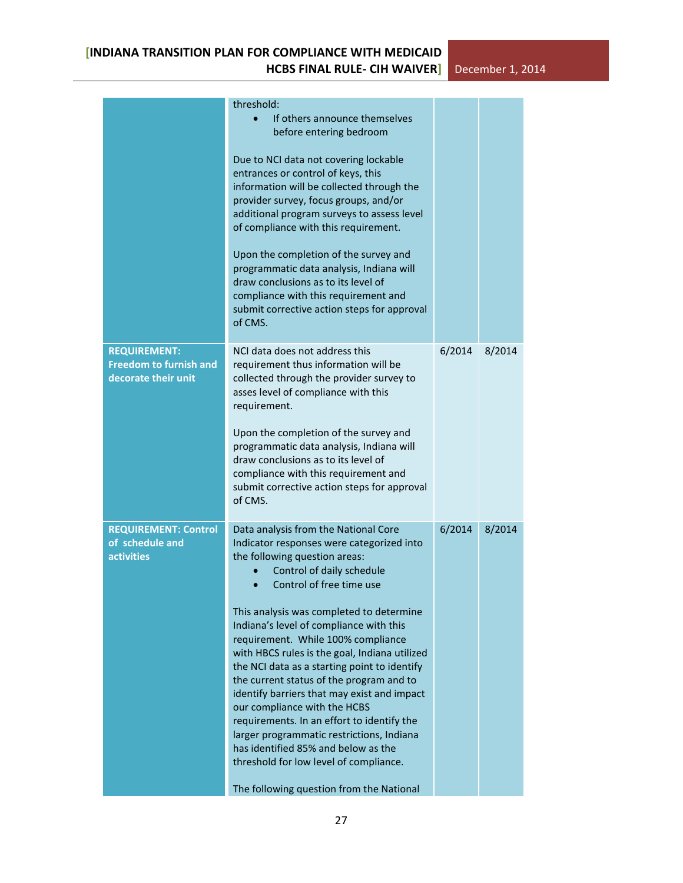|                                                                             | threshold:<br>If others announce themselves<br>before entering bedroom<br>Due to NCI data not covering lockable<br>entrances or control of keys, this<br>information will be collected through the<br>provider survey, focus groups, and/or<br>additional program surveys to assess level<br>of compliance with this requirement.<br>Upon the completion of the survey and<br>programmatic data analysis, Indiana will<br>draw conclusions as to its level of<br>compliance with this requirement and<br>submit corrective action steps for approval<br>of CMS.                                                                                                                                                                                              |        |        |
|-----------------------------------------------------------------------------|--------------------------------------------------------------------------------------------------------------------------------------------------------------------------------------------------------------------------------------------------------------------------------------------------------------------------------------------------------------------------------------------------------------------------------------------------------------------------------------------------------------------------------------------------------------------------------------------------------------------------------------------------------------------------------------------------------------------------------------------------------------|--------|--------|
| <b>REQUIREMENT:</b><br><b>Freedom to furnish and</b><br>decorate their unit | NCI data does not address this<br>requirement thus information will be<br>collected through the provider survey to<br>asses level of compliance with this<br>requirement.<br>Upon the completion of the survey and<br>programmatic data analysis, Indiana will<br>draw conclusions as to its level of<br>compliance with this requirement and<br>submit corrective action steps for approval<br>of CMS.                                                                                                                                                                                                                                                                                                                                                      | 6/2014 | 8/2014 |
| <b>REQUIREMENT: Control</b><br>of schedule and<br><b>activities</b>         | Data analysis from the National Core<br>Indicator responses were categorized into<br>the following question areas:<br>Control of daily schedule<br>Control of free time use<br>This analysis was completed to determine<br>Indiana's level of compliance with this<br>requirement. While 100% compliance<br>with HBCS rules is the goal, Indiana utilized<br>the NCI data as a starting point to identify<br>the current status of the program and to<br>identify barriers that may exist and impact<br>our compliance with the HCBS<br>requirements. In an effort to identify the<br>larger programmatic restrictions, Indiana<br>has identified 85% and below as the<br>threshold for low level of compliance.<br>The following question from the National | 6/2014 | 8/2014 |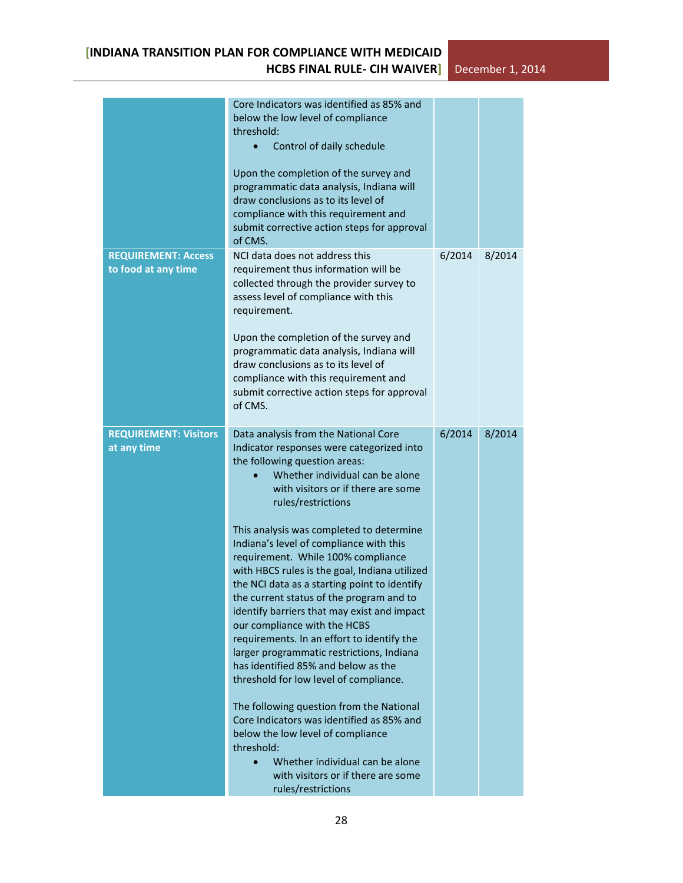|                                                   | Core Indicators was identified as 85% and<br>below the low level of compliance<br>threshold:<br>Control of daily schedule<br>$\bullet$<br>Upon the completion of the survey and<br>programmatic data analysis, Indiana will<br>draw conclusions as to its level of<br>compliance with this requirement and<br>submit corrective action steps for approval<br>of CMS.                                                                                                                                                                                                                                                                                                                                                                                                                                                                                                                                                                                                                                           |        |        |
|---------------------------------------------------|----------------------------------------------------------------------------------------------------------------------------------------------------------------------------------------------------------------------------------------------------------------------------------------------------------------------------------------------------------------------------------------------------------------------------------------------------------------------------------------------------------------------------------------------------------------------------------------------------------------------------------------------------------------------------------------------------------------------------------------------------------------------------------------------------------------------------------------------------------------------------------------------------------------------------------------------------------------------------------------------------------------|--------|--------|
| <b>REQUIREMENT: Access</b><br>to food at any time | NCI data does not address this<br>requirement thus information will be<br>collected through the provider survey to<br>assess level of compliance with this<br>requirement.<br>Upon the completion of the survey and<br>programmatic data analysis, Indiana will<br>draw conclusions as to its level of<br>compliance with this requirement and<br>submit corrective action steps for approval<br>of CMS.                                                                                                                                                                                                                                                                                                                                                                                                                                                                                                                                                                                                       | 6/2014 | 8/2014 |
| <b>REQUIREMENT: Visitors</b><br>at any time       | Data analysis from the National Core<br>Indicator responses were categorized into<br>the following question areas:<br>Whether individual can be alone<br>with visitors or if there are some<br>rules/restrictions<br>This analysis was completed to determine<br>Indiana's level of compliance with this<br>requirement. While 100% compliance<br>with HBCS rules is the goal, Indiana utilized<br>the NCI data as a starting point to identify<br>the current status of the program and to<br>identify barriers that may exist and impact<br>our compliance with the HCBS<br>requirements. In an effort to identify the<br>larger programmatic restrictions, Indiana<br>has identified 85% and below as the<br>threshold for low level of compliance.<br>The following question from the National<br>Core Indicators was identified as 85% and<br>below the low level of compliance<br>threshold:<br>Whether individual can be alone<br>$\bullet$<br>with visitors or if there are some<br>rules/restrictions | 6/2014 | 8/2014 |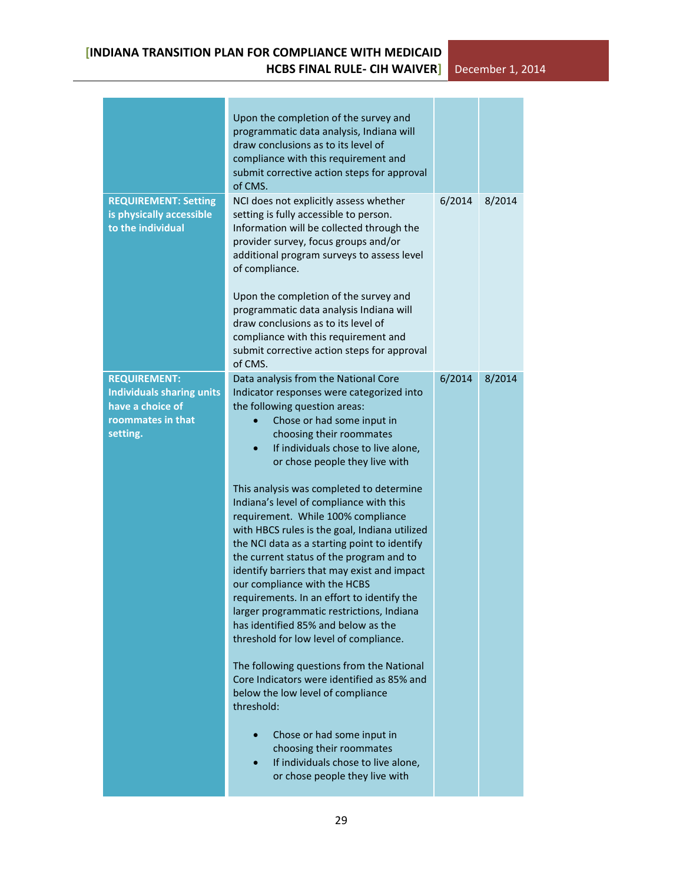|                                                                                                              | Upon the completion of the survey and<br>programmatic data analysis, Indiana will<br>draw conclusions as to its level of<br>compliance with this requirement and<br>submit corrective action steps for approval<br>of CMS.                                                                                                                                                                                                                                                                                                                                                                                                                                                                                                                                                                                                                                                                                                                                                                                                                                                  |        |        |
|--------------------------------------------------------------------------------------------------------------|-----------------------------------------------------------------------------------------------------------------------------------------------------------------------------------------------------------------------------------------------------------------------------------------------------------------------------------------------------------------------------------------------------------------------------------------------------------------------------------------------------------------------------------------------------------------------------------------------------------------------------------------------------------------------------------------------------------------------------------------------------------------------------------------------------------------------------------------------------------------------------------------------------------------------------------------------------------------------------------------------------------------------------------------------------------------------------|--------|--------|
| <b>REQUIREMENT: Setting</b><br>is physically accessible<br>to the individual                                 | NCI does not explicitly assess whether<br>setting is fully accessible to person.<br>Information will be collected through the<br>provider survey, focus groups and/or<br>additional program surveys to assess level<br>of compliance.<br>Upon the completion of the survey and<br>programmatic data analysis Indiana will<br>draw conclusions as to its level of<br>compliance with this requirement and<br>submit corrective action steps for approval<br>of CMS.                                                                                                                                                                                                                                                                                                                                                                                                                                                                                                                                                                                                          | 6/2014 | 8/2014 |
| <b>REQUIREMENT:</b><br><b>Individuals sharing units</b><br>have a choice of<br>roommates in that<br>setting. | Data analysis from the National Core<br>Indicator responses were categorized into<br>the following question areas:<br>Chose or had some input in<br>choosing their roommates<br>If individuals chose to live alone,<br>or chose people they live with<br>This analysis was completed to determine<br>Indiana's level of compliance with this<br>requirement. While 100% compliance<br>with HBCS rules is the goal, Indiana utilized<br>the NCI data as a starting point to identify<br>the current status of the program and to<br>identify barriers that may exist and impact<br>our compliance with the HCBS<br>requirements. In an effort to identify the<br>larger programmatic restrictions, Indiana<br>has identified 85% and below as the<br>threshold for low level of compliance.<br>The following questions from the National<br>Core Indicators were identified as 85% and<br>below the low level of compliance<br>threshold:<br>Chose or had some input in<br>choosing their roommates<br>If individuals chose to live alone,<br>or chose people they live with | 6/2014 | 8/2014 |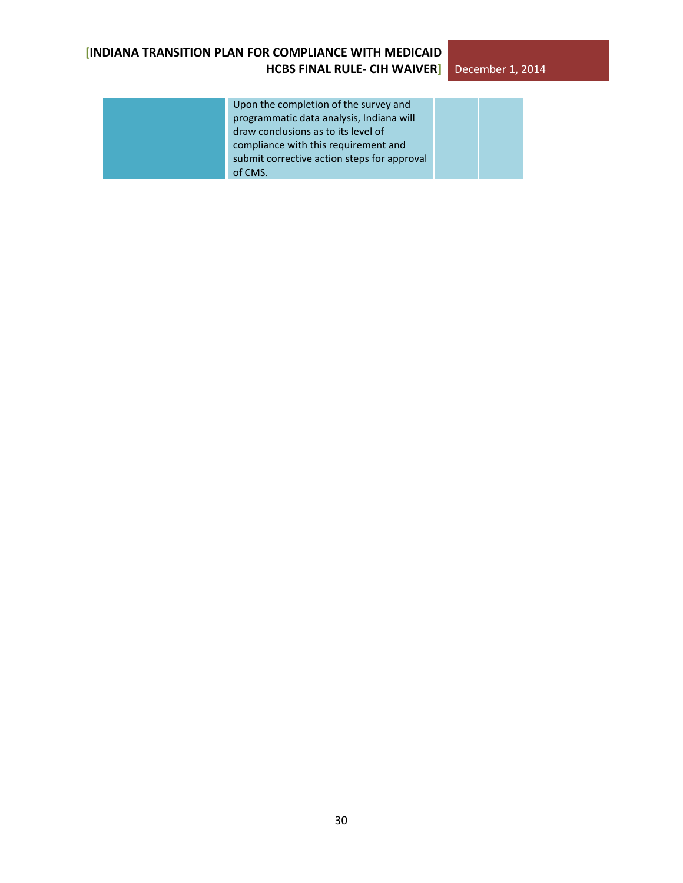| Upon the completion of the survey and       |  |
|---------------------------------------------|--|
| programmatic data analysis, Indiana will    |  |
| draw conclusions as to its level of         |  |
| compliance with this requirement and        |  |
| submit corrective action steps for approval |  |
| of CMS.                                     |  |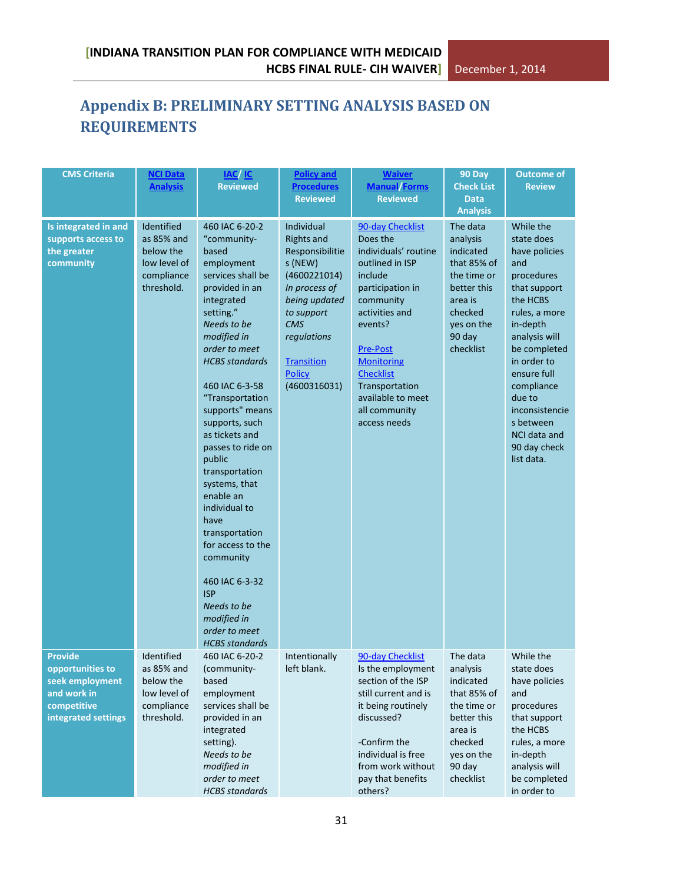# <span id="page-30-0"></span>**Appendix B: PRELIMINARY SETTING ANALYSIS BASED ON REQUIREMENTS**

| <b>CMS Criteria</b>                                                                                        | <b>NCI Data</b><br><b>Analysis</b>                                                | <b>IAC</b> IC<br><b>Reviewed</b>                                                                                                                                                                                                                                                                                                                                                                                                                                                                                                                               | <b>Policy and</b><br><b>Procedures</b><br><b>Reviewed</b>                                                                                                                                                 | <b>Waiver</b><br><b>Manual Forms</b><br><b>Reviewed</b>                                                                                                                                                                                                                              | 90 Day<br><b>Check List</b><br><b>Data</b><br><b>Analysis</b>                                                                             | <b>Outcome of</b><br><b>Review</b>                                                                                                                                                                                                                                                         |
|------------------------------------------------------------------------------------------------------------|-----------------------------------------------------------------------------------|----------------------------------------------------------------------------------------------------------------------------------------------------------------------------------------------------------------------------------------------------------------------------------------------------------------------------------------------------------------------------------------------------------------------------------------------------------------------------------------------------------------------------------------------------------------|-----------------------------------------------------------------------------------------------------------------------------------------------------------------------------------------------------------|--------------------------------------------------------------------------------------------------------------------------------------------------------------------------------------------------------------------------------------------------------------------------------------|-------------------------------------------------------------------------------------------------------------------------------------------|--------------------------------------------------------------------------------------------------------------------------------------------------------------------------------------------------------------------------------------------------------------------------------------------|
| Is integrated in and<br>supports access to<br>the greater<br>community                                     | Identified<br>as 85% and<br>below the<br>low level of<br>compliance<br>threshold. | 460 IAC 6-20-2<br>"community-<br>based<br>employment<br>services shall be<br>provided in an<br>integrated<br>setting."<br>Needs to be<br>modified in<br>order to meet<br><b>HCBS</b> standards<br>460 IAC 6-3-58<br>"Transportation<br>supports" means<br>supports, such<br>as tickets and<br>passes to ride on<br>public<br>transportation<br>systems, that<br>enable an<br>individual to<br>have<br>transportation<br>for access to the<br>community<br>460 IAC 6-3-32<br><b>ISP</b><br>Needs to be<br>modified in<br>order to meet<br><b>HCBS</b> standards | Individual<br><b>Rights and</b><br>Responsibilitie<br>s (NEW)<br>(4600221014)<br>In process of<br>being updated<br>to support<br><b>CMS</b><br>regulations<br>Transition<br><b>Policy</b><br>(4600316031) | 90-day Checklist<br>Does the<br>individuals' routine<br>outlined in ISP<br>include<br>participation in<br>community<br>activities and<br>events?<br><b>Pre-Post</b><br><b>Monitoring</b><br><b>Checklist</b><br>Transportation<br>available to meet<br>all community<br>access needs | The data<br>analysis<br>indicated<br>that 85% of<br>the time or<br>better this<br>area is<br>checked<br>yes on the<br>90 day<br>checklist | While the<br>state does<br>have policies<br>and<br>procedures<br>that support<br>the HCBS<br>rules, a more<br>in-depth<br>analysis will<br>be completed<br>in order to<br>ensure full<br>compliance<br>due to<br>inconsistencie<br>s between<br>NCI data and<br>90 day check<br>list data. |
| <b>Provide</b><br>opportunities to<br>seek employment<br>and work in<br>competitive<br>integrated settings | Identified<br>as 85% and<br>below the<br>low level of<br>compliance<br>threshold. | 460 IAC 6-20-2<br>(community-<br>based<br>employment<br>services shall be<br>provided in an<br>integrated<br>setting).<br>Needs to be<br>modified in<br>order to meet<br><b>HCBS</b> standards                                                                                                                                                                                                                                                                                                                                                                 | Intentionally<br>left blank.                                                                                                                                                                              | 90-day Checklist<br>Is the employment<br>section of the ISP<br>still current and is<br>it being routinely<br>discussed?<br>-Confirm the<br>individual is free<br>from work without<br>pay that benefits<br>others?                                                                   | The data<br>analysis<br>indicated<br>that 85% of<br>the time or<br>better this<br>area is<br>checked<br>yes on the<br>90 day<br>checklist | While the<br>state does<br>have policies<br>and<br>procedures<br>that support<br>the HCBS<br>rules, a more<br>in-depth<br>analysis will<br>be completed<br>in order to                                                                                                                     |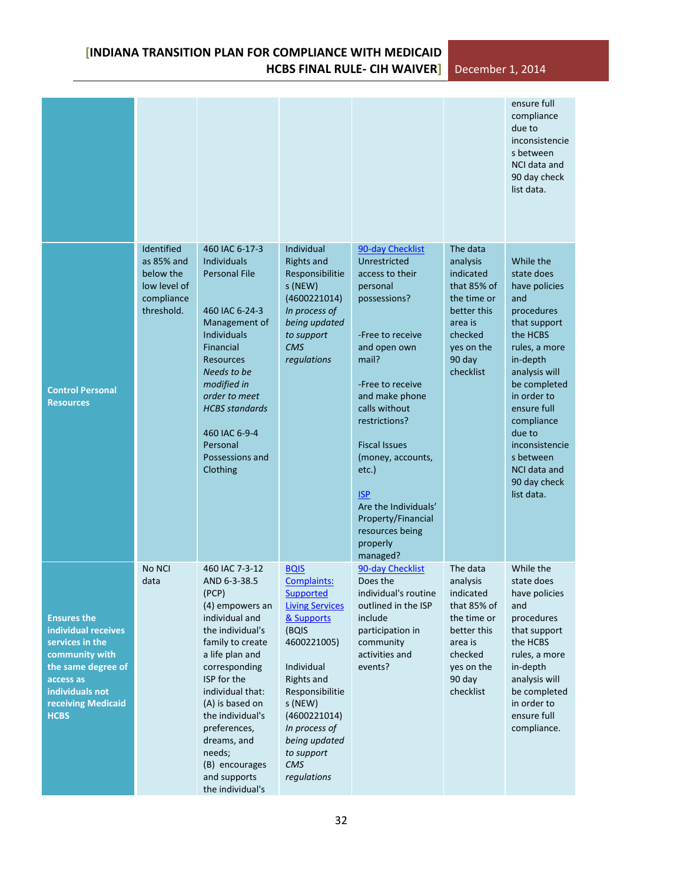|                                                                                                                                                                           |                                                                                   |                                                                                                                                                                                                                                                                                                                                   |                                                                                                                                                                                                                                                                |                                                                                                                                                                                                                                                                                                                                                                   |                                                                                                                                           | ensure full<br>compliance<br>due to<br>inconsistencie<br>s between<br>NCI data and<br>90 day check<br>list data.                                                                                                                                                                           |
|---------------------------------------------------------------------------------------------------------------------------------------------------------------------------|-----------------------------------------------------------------------------------|-----------------------------------------------------------------------------------------------------------------------------------------------------------------------------------------------------------------------------------------------------------------------------------------------------------------------------------|----------------------------------------------------------------------------------------------------------------------------------------------------------------------------------------------------------------------------------------------------------------|-------------------------------------------------------------------------------------------------------------------------------------------------------------------------------------------------------------------------------------------------------------------------------------------------------------------------------------------------------------------|-------------------------------------------------------------------------------------------------------------------------------------------|--------------------------------------------------------------------------------------------------------------------------------------------------------------------------------------------------------------------------------------------------------------------------------------------|
| <b>Control Personal</b><br><b>Resources</b>                                                                                                                               | Identified<br>as 85% and<br>below the<br>low level of<br>compliance<br>threshold. | 460 IAC 6-17-3<br><b>Individuals</b><br><b>Personal File</b><br>460 IAC 6-24-3<br>Management of<br><b>Individuals</b><br>Financial<br><b>Resources</b><br>Needs to be<br>modified in<br>order to meet<br><b>HCBS</b> standards<br>460 IAC 6-9-4<br>Personal<br>Possessions and<br>Clothing                                        | <b>Individual</b><br><b>Rights and</b><br>Responsibilitie<br>s (NEW)<br>(4600221014)<br>In process of<br>being updated<br>to support<br><b>CMS</b><br>regulations                                                                                              | 90-day Checklist<br>Unrestricted<br>access to their<br>personal<br>possessions?<br>-Free to receive<br>and open own<br>mail?<br>-Free to receive<br>and make phone<br>calls without<br>restrictions?<br><b>Fiscal Issues</b><br>(money, accounts,<br>etc.)<br><b>ISP</b><br>Are the Individuals'<br>Property/Financial<br>resources being<br>properly<br>managed? | The data<br>analysis<br>indicated<br>that 85% of<br>the time or<br>better this<br>area is<br>checked<br>yes on the<br>90 day<br>checklist | While the<br>state does<br>have policies<br>and<br>procedures<br>that support<br>the HCBS<br>rules, a more<br>in-depth<br>analysis will<br>be completed<br>in order to<br>ensure full<br>compliance<br>due to<br>inconsistencie<br>s between<br>NCI data and<br>90 day check<br>list data. |
| <b>Ensures the</b><br>individual receives<br>services in the<br>community with<br>the same degree of<br>access as<br>individuals not<br>receiving Medicaid<br><b>HCBS</b> | No NCI<br>data                                                                    | 460 IAC 7-3-12<br>AND 6-3-38.5<br>(PCP)<br>(4) empowers an<br>individual and<br>the individual's<br>family to create<br>a life plan and<br>corresponding<br>ISP for the<br>individual that:<br>(A) is based on<br>the individual's<br>preferences,<br>dreams, and<br>needs;<br>(B) encourages<br>and supports<br>the individual's | <b>BQIS</b><br>Complaints:<br>Supported<br><b>Living Services</b><br>& Supports<br>(BQIS<br>4600221005)<br>Individual<br><b>Rights and</b><br>Responsibilitie<br>s (NEW)<br>(4600221014)<br>In process of<br>being updated<br>to support<br>CMS<br>regulations | 90-day Checklist<br>Does the<br>individual's routine<br>outlined in the ISP<br>include<br>participation in<br>community<br>activities and<br>events?                                                                                                                                                                                                              | The data<br>analysis<br>indicated<br>that 85% of<br>the time or<br>better this<br>area is<br>checked<br>yes on the<br>90 day<br>checklist | While the<br>state does<br>have policies<br>and<br>procedures<br>that support<br>the HCBS<br>rules, a more<br>in-depth<br>analysis will<br>be completed<br>in order to<br>ensure full<br>compliance.                                                                                       |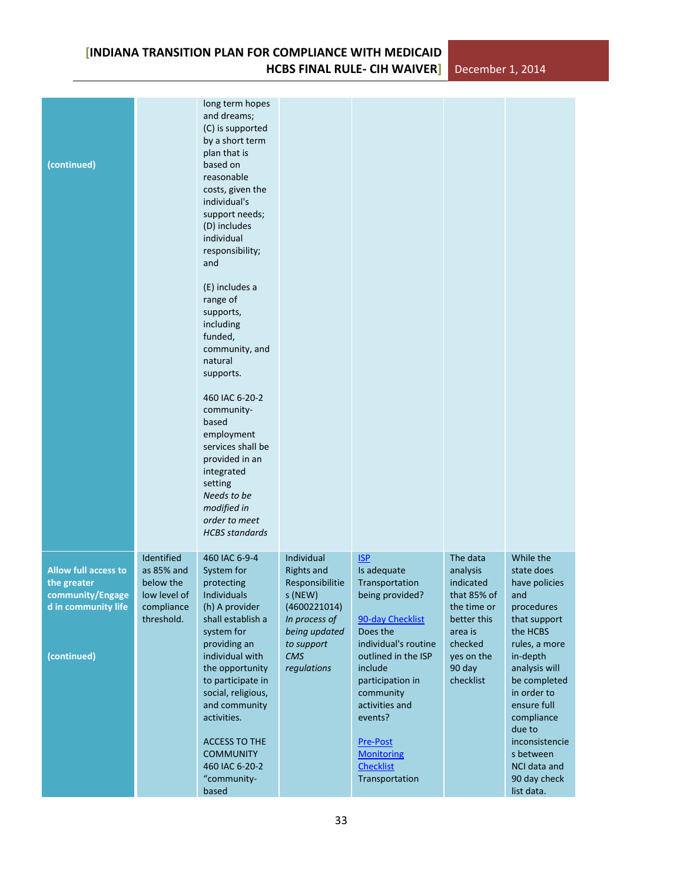| (continued)                                                                                          |                                                                                   | long term hopes<br>and dreams;<br>(C) is supported<br>by a short term<br>plan that is<br>based on<br>reasonable<br>costs, given the<br>individual's<br>support needs;<br>(D) includes<br>individual<br>responsibility;<br>and<br>(E) includes a<br>range of<br>supports,<br>including<br>funded,<br>community, and<br>natural<br>supports.<br>460 IAC 6-20-2<br>community-<br>based<br>employment<br>services shall be<br>provided in an<br>integrated<br>setting<br>Needs to be<br>modified in<br>order to meet<br><b>HCBS</b> standards |                                                                                                                                                            |                                                                                                                                                                                                                                                                                                      |                                                                                                                                           |                                                                                                                                                                                                                                                                                            |
|------------------------------------------------------------------------------------------------------|-----------------------------------------------------------------------------------|-------------------------------------------------------------------------------------------------------------------------------------------------------------------------------------------------------------------------------------------------------------------------------------------------------------------------------------------------------------------------------------------------------------------------------------------------------------------------------------------------------------------------------------------|------------------------------------------------------------------------------------------------------------------------------------------------------------|------------------------------------------------------------------------------------------------------------------------------------------------------------------------------------------------------------------------------------------------------------------------------------------------------|-------------------------------------------------------------------------------------------------------------------------------------------|--------------------------------------------------------------------------------------------------------------------------------------------------------------------------------------------------------------------------------------------------------------------------------------------|
| <b>Allow full access to</b><br>the greater<br>community/Engage<br>d in community life<br>(continued) | Identified<br>as 85% and<br>below the<br>low level of<br>compliance<br>threshold. | 460 IAC 6-9-4<br>System for<br>protecting<br>Individuals<br>(h) A provider<br>shall establish a<br>system for<br>providing an<br>individual with<br>the opportunity<br>to participate in<br>social, religious,<br>and community<br>activities.<br><b>ACCESS TO THE</b><br><b>COMMUNITY</b><br>460 IAC 6-20-2<br>"community-<br>based                                                                                                                                                                                                      | <b>Individual</b><br><b>Rights and</b><br>Responsibilitie<br>s (NEW)<br>(4600221014)<br>In process of<br>being updated<br>to support<br>CMS<br>regulations | <b>ISP</b><br>Is adequate<br>Transportation<br>being provided?<br>90-day Checklist<br>Does the<br>individual's routine<br>outlined in the ISP<br>include<br>participation in<br>community<br>activities and<br>events?<br><b>Pre-Post</b><br><b>Monitoring</b><br><b>Checklist</b><br>Transportation | The data<br>analysis<br>indicated<br>that 85% of<br>the time or<br>better this<br>area is<br>checked<br>yes on the<br>90 day<br>checklist | While the<br>state does<br>have policies<br>and<br>procedures<br>that support<br>the HCBS<br>rules, a more<br>in-depth<br>analysis will<br>be completed<br>in order to<br>ensure full<br>compliance<br>due to<br>inconsistencie<br>s between<br>NCI data and<br>90 day check<br>list data. |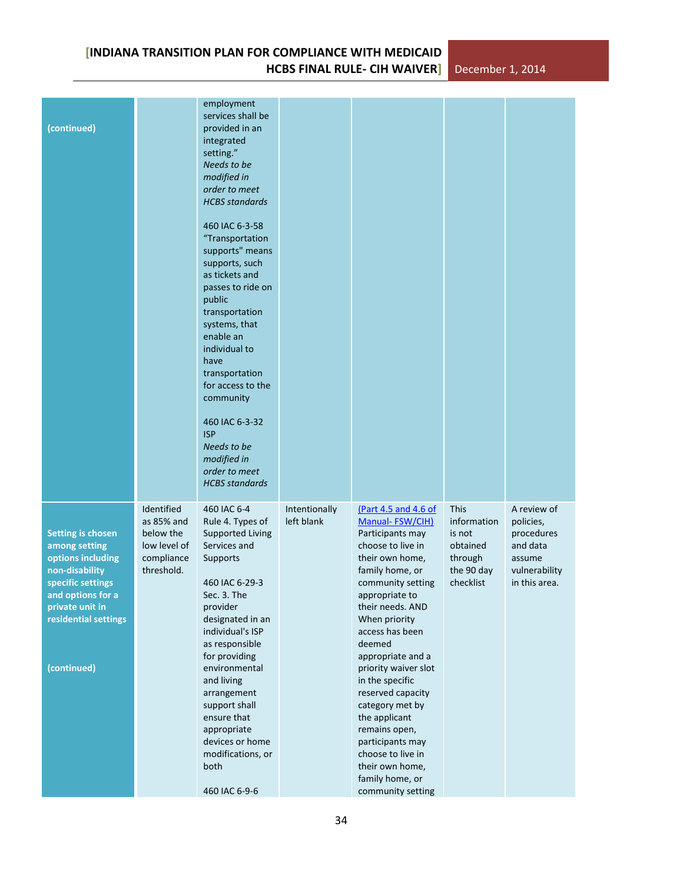| (continued)                                                                                                                                                                          |                                                                                   | employment<br>services shall be<br>provided in an<br>integrated<br>setting."<br>Needs to be<br>modified in<br>order to meet<br><b>HCBS</b> standards<br>460 IAC 6-3-58<br>"Transportation<br>supports" means<br>supports, such<br>as tickets and<br>passes to ride on<br>public<br>transportation<br>systems, that<br>enable an<br>individual to<br>have<br>transportation<br>for access to the<br>community<br>460 IAC 6-3-32<br><b>ISP</b><br>Needs to be<br>modified in<br>order to meet<br><b>HCBS</b> standards |                             |                                                                                                                                                                                                                                                                                                                                                                                                                                                                               |                                                                                        |                                                                                                |
|--------------------------------------------------------------------------------------------------------------------------------------------------------------------------------------|-----------------------------------------------------------------------------------|----------------------------------------------------------------------------------------------------------------------------------------------------------------------------------------------------------------------------------------------------------------------------------------------------------------------------------------------------------------------------------------------------------------------------------------------------------------------------------------------------------------------|-----------------------------|-------------------------------------------------------------------------------------------------------------------------------------------------------------------------------------------------------------------------------------------------------------------------------------------------------------------------------------------------------------------------------------------------------------------------------------------------------------------------------|----------------------------------------------------------------------------------------|------------------------------------------------------------------------------------------------|
| <b>Setting is chosen</b><br>among setting<br>options including<br>non-disability<br>specific settings<br>and options for a<br>private unit in<br>residential settings<br>(continued) | Identified<br>as 85% and<br>below the<br>low level of<br>compliance<br>threshold. | 460 IAC 6-4<br>Rule 4. Types of<br><b>Supported Living</b><br>Services and<br><b>Supports</b><br>460 IAC 6-29-3<br>Sec. 3. The<br>provider<br>designated in an<br>individual's ISP<br>as responsible<br>for providing<br>environmental<br>and living<br>arrangement<br>support shall<br>ensure that<br>appropriate<br>devices or home<br>modifications, or<br>both<br>460 IAC 6-9-6                                                                                                                                  | Intentionally<br>left blank | (Part 4.5 and 4.6 of<br>Manual-FSW/CIH)<br>Participants may<br>choose to live in<br>their own home,<br>family home, or<br>community setting<br>appropriate to<br>their needs. AND<br>When priority<br>access has been<br>deemed<br>appropriate and a<br>priority waiver slot<br>in the specific<br>reserved capacity<br>category met by<br>the applicant<br>remains open,<br>participants may<br>choose to live in<br>their own home,<br>family home, or<br>community setting | <b>This</b><br>information<br>is not<br>obtained<br>through<br>the 90 day<br>checklist | A review of<br>policies,<br>procedures<br>and data<br>assume<br>vulnerability<br>in this area. |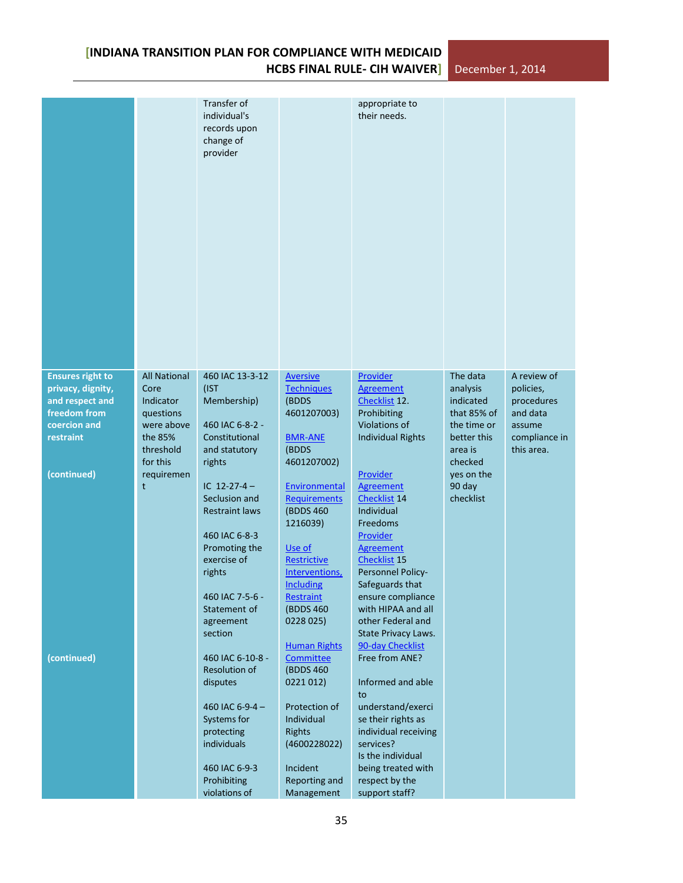|                                              |                             | Transfer of<br>individual's<br>records upon<br>change of<br>provider |                                      | appropriate to<br>their needs.               |                       |                          |
|----------------------------------------------|-----------------------------|----------------------------------------------------------------------|--------------------------------------|----------------------------------------------|-----------------------|--------------------------|
| <b>Ensures right to</b><br>privacy, dignity, | <b>All National</b><br>Core | 460 IAC 13-3-12<br>(IST                                              | <b>Aversive</b><br><b>Techniques</b> | Provider<br><b>Agreement</b>                 | The data<br>analysis  | A review of<br>policies, |
| and respect and                              | Indicator                   | Membership)                                                          | (BDDS                                | Checklist <sub>12</sub> .                    | indicated             | procedures               |
| freedom from                                 | questions                   |                                                                      | 4601207003)                          | Prohibiting                                  | that 85% of           | and data                 |
| coercion and                                 | were above                  | 460 IAC 6-8-2 -                                                      |                                      | Violations of                                | the time or           | assume                   |
| restraint                                    | the 85%                     | Constitutional                                                       | <b>BMR-ANE</b>                       | <b>Individual Rights</b>                     | better this           | compliance in            |
|                                              | threshold                   | and statutory                                                        | (BDDS                                |                                              | area is               | this area.               |
| (continued)                                  | for this<br>requiremen      | rights                                                               | 4601207002)                          | Provider                                     | checked<br>yes on the |                          |
|                                              | t                           | IC $12-27-4-$                                                        | Environmental                        | Agreement                                    | 90 day                |                          |
|                                              |                             | Seclusion and                                                        | <b>Requirements</b>                  | Checklist 14                                 | checklist             |                          |
|                                              |                             | <b>Restraint laws</b>                                                | (BDDS 460)                           | Individual                                   |                       |                          |
|                                              |                             |                                                                      | 1216039)                             | Freedoms                                     |                       |                          |
|                                              |                             | 460 IAC 6-8-3                                                        |                                      | Provider                                     |                       |                          |
|                                              |                             | Promoting the<br>exercise of                                         | Use of                               | <b>Agreement</b>                             |                       |                          |
|                                              |                             | rights                                                               | Restrictive<br>Interventions,        | Checklist <sub>15</sub><br>Personnel Policy- |                       |                          |
|                                              |                             |                                                                      | <b>Including</b>                     | Safeguards that                              |                       |                          |
|                                              |                             | 460 IAC 7-5-6 -                                                      | Restraint                            | ensure compliance                            |                       |                          |
|                                              |                             | Statement of                                                         | (BDDS 460)                           | with HIPAA and all                           |                       |                          |
|                                              |                             | agreement<br>section                                                 | 0228 025)                            | other Federal and<br>State Privacy Laws.     |                       |                          |
|                                              |                             |                                                                      | <b>Human Rights</b>                  | 90-day Checklist                             |                       |                          |
| (continued)                                  |                             | 460 IAC 6-10-8 -                                                     | Committee                            | Free from ANE?                               |                       |                          |
|                                              |                             | Resolution of                                                        | (BDDS 460)                           |                                              |                       |                          |
|                                              |                             | disputes                                                             | 0221 012)                            | Informed and able                            |                       |                          |
|                                              |                             | 460 IAC 6-9-4-                                                       | Protection of                        | to<br>understand/exerci                      |                       |                          |
|                                              |                             | Systems for                                                          | Individual                           | se their rights as                           |                       |                          |
|                                              |                             | protecting                                                           | <b>Rights</b>                        | individual receiving                         |                       |                          |
|                                              |                             | individuals                                                          | (4600228022)                         | services?                                    |                       |                          |
|                                              |                             |                                                                      |                                      | Is the individual                            |                       |                          |
|                                              |                             | 460 IAC 6-9-3<br>Prohibiting                                         | Incident<br>Reporting and            | being treated with<br>respect by the         |                       |                          |
|                                              |                             | violations of                                                        | Management                           | support staff?                               |                       |                          |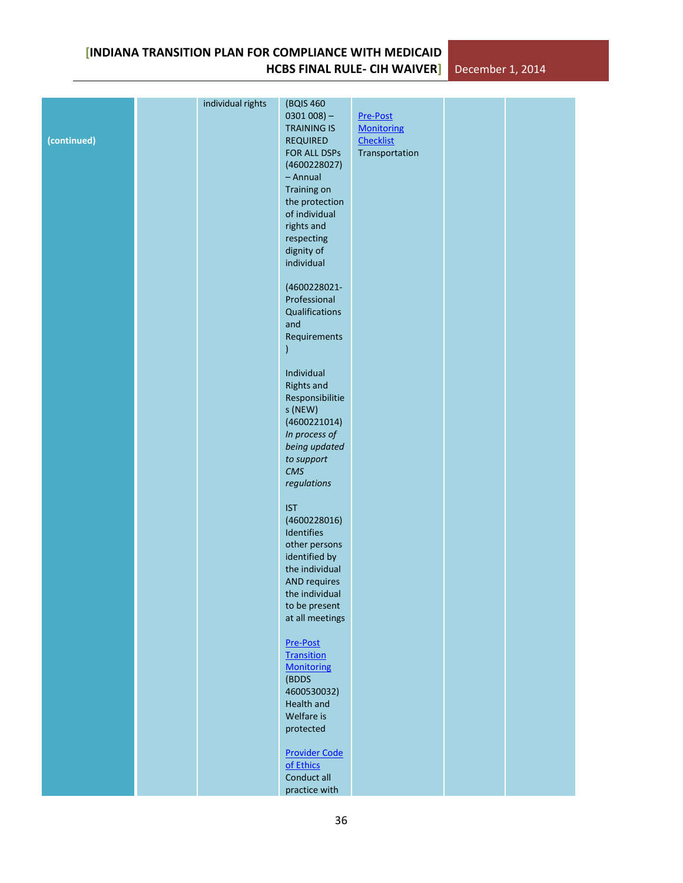|             | individual rights | (BQIS 460                       |                                    |  |
|-------------|-------------------|---------------------------------|------------------------------------|--|
|             |                   | $0301008$ ) -                   | Pre-Post                           |  |
|             |                   | <b>TRAINING IS</b>              | <b>Monitoring</b>                  |  |
| (continued) |                   | <b>REQUIRED</b><br>FOR ALL DSPs | <b>Checklist</b><br>Transportation |  |
|             |                   | (4600228027)                    |                                    |  |
|             |                   | - Annual                        |                                    |  |
|             |                   | Training on                     |                                    |  |
|             |                   | the protection                  |                                    |  |
|             |                   | of individual                   |                                    |  |
|             |                   | rights and                      |                                    |  |
|             |                   | respecting                      |                                    |  |
|             |                   | dignity of                      |                                    |  |
|             |                   | individual                      |                                    |  |
|             |                   | (4600228021-                    |                                    |  |
|             |                   | Professional                    |                                    |  |
|             |                   | Qualifications                  |                                    |  |
|             |                   | and                             |                                    |  |
|             |                   | Requirements                    |                                    |  |
|             |                   | $\mathcal{E}$                   |                                    |  |
|             |                   | Individual                      |                                    |  |
|             |                   | <b>Rights and</b>               |                                    |  |
|             |                   | Responsibilitie                 |                                    |  |
|             |                   | s (NEW)                         |                                    |  |
|             |                   | (4600221014)                    |                                    |  |
|             |                   | In process of                   |                                    |  |
|             |                   | being updated                   |                                    |  |
|             |                   | to support<br>CMS               |                                    |  |
|             |                   | regulations                     |                                    |  |
|             |                   |                                 |                                    |  |
|             |                   | <b>IST</b>                      |                                    |  |
|             |                   | (4600228016)                    |                                    |  |
|             |                   | Identifies                      |                                    |  |
|             |                   | other persons                   |                                    |  |
|             |                   | identified by<br>the individual |                                    |  |
|             |                   | <b>AND requires</b>             |                                    |  |
|             |                   | the individual                  |                                    |  |
|             |                   | to be present                   |                                    |  |
|             |                   | at all meetings                 |                                    |  |
|             |                   |                                 |                                    |  |
|             |                   | Pre-Post<br><b>Transition</b>   |                                    |  |
|             |                   | <b>Monitoring</b>               |                                    |  |
|             |                   | (BDDS                           |                                    |  |
|             |                   | 4600530032)                     |                                    |  |
|             |                   | Health and                      |                                    |  |
|             |                   | Welfare is                      |                                    |  |
|             |                   | protected                       |                                    |  |
|             |                   | <b>Provider Code</b>            |                                    |  |
|             |                   | of Ethics                       |                                    |  |
|             |                   | Conduct all                     |                                    |  |
|             |                   | practice with                   |                                    |  |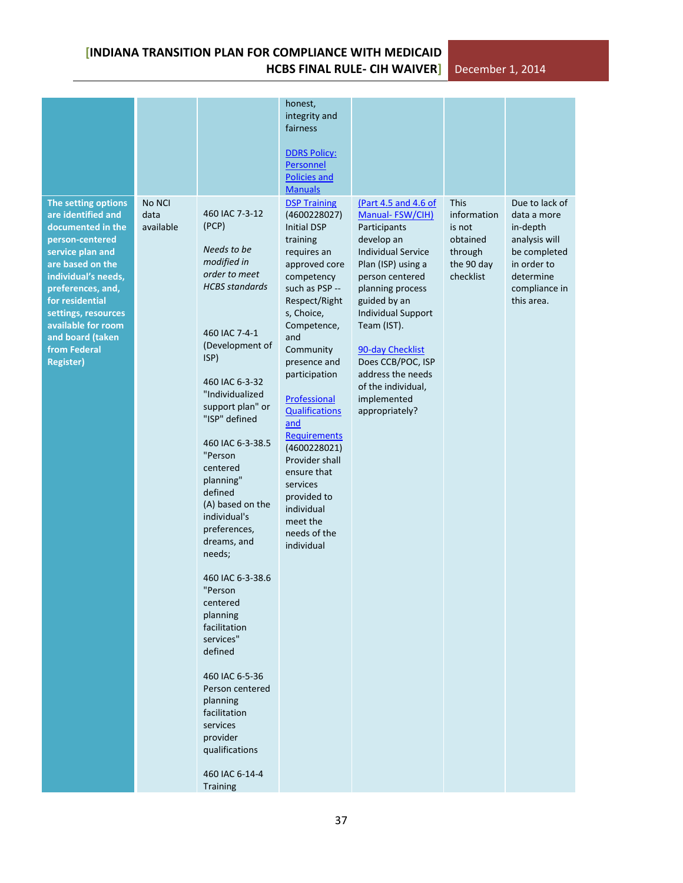|                                                                                                                                                                                                                                                                                               |                             |                                                                                                                                                                                                                                                                                                                                                                                                                                                                                                                                                                                                               | honest,<br>integrity and<br>fairness<br><b>DDRS Policy:</b><br>Personnel<br><b>Policies and</b><br><b>Manuals</b>                                                                                                                                                                                                                                                                                                                            |                                                                                                                                                                                                                                                                                                                                                  |                                                                                        |                                                                                                                                       |
|-----------------------------------------------------------------------------------------------------------------------------------------------------------------------------------------------------------------------------------------------------------------------------------------------|-----------------------------|---------------------------------------------------------------------------------------------------------------------------------------------------------------------------------------------------------------------------------------------------------------------------------------------------------------------------------------------------------------------------------------------------------------------------------------------------------------------------------------------------------------------------------------------------------------------------------------------------------------|----------------------------------------------------------------------------------------------------------------------------------------------------------------------------------------------------------------------------------------------------------------------------------------------------------------------------------------------------------------------------------------------------------------------------------------------|--------------------------------------------------------------------------------------------------------------------------------------------------------------------------------------------------------------------------------------------------------------------------------------------------------------------------------------------------|----------------------------------------------------------------------------------------|---------------------------------------------------------------------------------------------------------------------------------------|
| The setting options<br>are identified and<br>documented in the<br>person-centered<br>service plan and<br>are based on the<br>individual's needs,<br>preferences, and,<br>for residential<br>settings, resources<br>available for room<br>and board (taken<br>from Federal<br><b>Register)</b> | No NCI<br>data<br>available | 460 IAC 7-3-12<br>(PCP)<br>Needs to be<br>modified in<br>order to meet<br><b>HCBS</b> standards<br>460 IAC 7-4-1<br>(Development of<br>ISP)<br>460 IAC 6-3-32<br>"Individualized<br>support plan" or<br>"ISP" defined<br>460 IAC 6-3-38.5<br>"Person<br>centered<br>planning"<br>defined<br>(A) based on the<br>individual's<br>preferences,<br>dreams, and<br>needs;<br>460 IAC 6-3-38.6<br>"Person<br>centered<br>planning<br>facilitation<br>services"<br>defined<br>460 IAC 6-5-36<br>Person centered<br>planning<br>facilitation<br>services<br>provider<br>qualifications<br>460 IAC 6-14-4<br>Training | <b>DSP Training</b><br>(4600228027)<br><b>Initial DSP</b><br>training<br>requires an<br>approved core<br>competency<br>such as PSP --<br>Respect/Right<br>s, Choice,<br>Competence,<br>and<br>Community<br>presence and<br>participation<br>Professional<br><b>Qualifications</b><br>and<br>Requirements<br>(4600228021)<br>Provider shall<br>ensure that<br>services<br>provided to<br>individual<br>meet the<br>needs of the<br>individual | (Part 4.5 and 4.6 of<br>Manual-FSW/CIH)<br>Participants<br>develop an<br><b>Individual Service</b><br>Plan (ISP) using a<br>person centered<br>planning process<br>guided by an<br><b>Individual Support</b><br>Team (IST).<br>90-day Checklist<br>Does CCB/POC, ISP<br>address the needs<br>of the individual,<br>implemented<br>appropriately? | <b>This</b><br>information<br>is not<br>obtained<br>through<br>the 90 day<br>checklist | Due to lack of<br>data a more<br>in-depth<br>analysis will<br>be completed<br>in order to<br>determine<br>compliance in<br>this area. |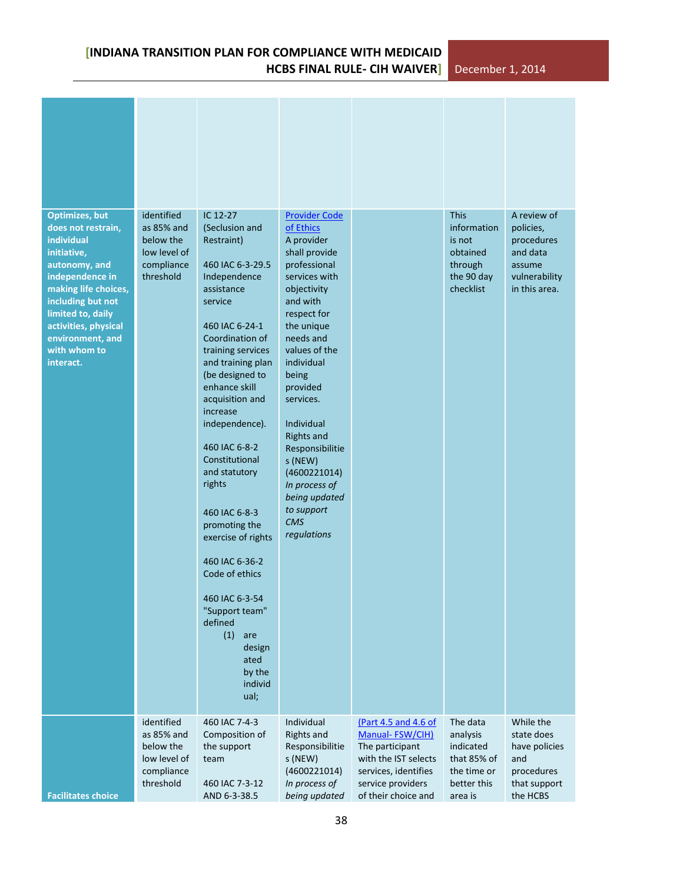| <b>Optimizes, but</b><br>does not restrain,<br>individual<br>initiative,<br>autonomy, and<br>independence in<br>making life choices,<br>including but not<br>limited to, daily<br>activities, physical<br>environment, and<br>with whom to<br>interact. | identified<br>as 85% and<br>below the<br>low level of<br>compliance<br>threshold | IC 12-27<br>(Seclusion and<br>Restraint)<br>460 IAC 6-3-29.5<br>Independence<br>assistance<br>service<br>460 IAC 6-24-1<br>Coordination of<br>training services<br>and training plan<br>(be designed to<br>enhance skill<br>acquisition and<br>increase<br>independence).<br>460 IAC 6-8-2<br>Constitutional<br>and statutory<br>rights<br>460 IAC 6-8-3<br>promoting the<br>exercise of rights<br>460 IAC 6-36-2<br>Code of ethics<br>460 IAC 6-3-54<br>"Support team"<br>defined<br>(1)<br>are<br>design<br>ated<br>by the<br>individ<br>ual; | <b>Provider Code</b><br>of Ethics<br>A provider<br>shall provide<br>professional<br>services with<br>objectivity<br>and with<br>respect for<br>the unique<br>needs and<br>values of the<br>individual<br>being<br>provided<br>services.<br>Individual<br><b>Rights and</b><br>Responsibilitie<br>s (NEW)<br>(4600221014)<br>In process of<br>being updated<br>to support<br><b>CMS</b><br>regulations |                                                                                                                                                        | <b>This</b><br>information<br>is not<br>obtained<br>through<br>the 90 day<br>checklist    | A review of<br>policies,<br>procedures<br>and data<br>assume<br>vulnerability<br>in this area. |
|---------------------------------------------------------------------------------------------------------------------------------------------------------------------------------------------------------------------------------------------------------|----------------------------------------------------------------------------------|-------------------------------------------------------------------------------------------------------------------------------------------------------------------------------------------------------------------------------------------------------------------------------------------------------------------------------------------------------------------------------------------------------------------------------------------------------------------------------------------------------------------------------------------------|-------------------------------------------------------------------------------------------------------------------------------------------------------------------------------------------------------------------------------------------------------------------------------------------------------------------------------------------------------------------------------------------------------|--------------------------------------------------------------------------------------------------------------------------------------------------------|-------------------------------------------------------------------------------------------|------------------------------------------------------------------------------------------------|
| <b>Facilitates choice</b>                                                                                                                                                                                                                               | identified<br>as 85% and<br>below the<br>low level of<br>compliance<br>threshold | 460 IAC 7-4-3<br>Composition of<br>the support<br>team<br>460 IAC 7-3-12<br>AND 6-3-38.5                                                                                                                                                                                                                                                                                                                                                                                                                                                        | Individual<br><b>Rights and</b><br>Responsibilitie<br>s (NEW)<br>(4600221014)<br>In process of<br>being updated                                                                                                                                                                                                                                                                                       | (Part 4.5 and 4.6 of<br>Manual-FSW/CIH)<br>The participant<br>with the IST selects<br>services, identifies<br>service providers<br>of their choice and | The data<br>analysis<br>indicated<br>that 85% of<br>the time or<br>better this<br>area is | While the<br>state does<br>have policies<br>and<br>procedures<br>that support<br>the HCBS      |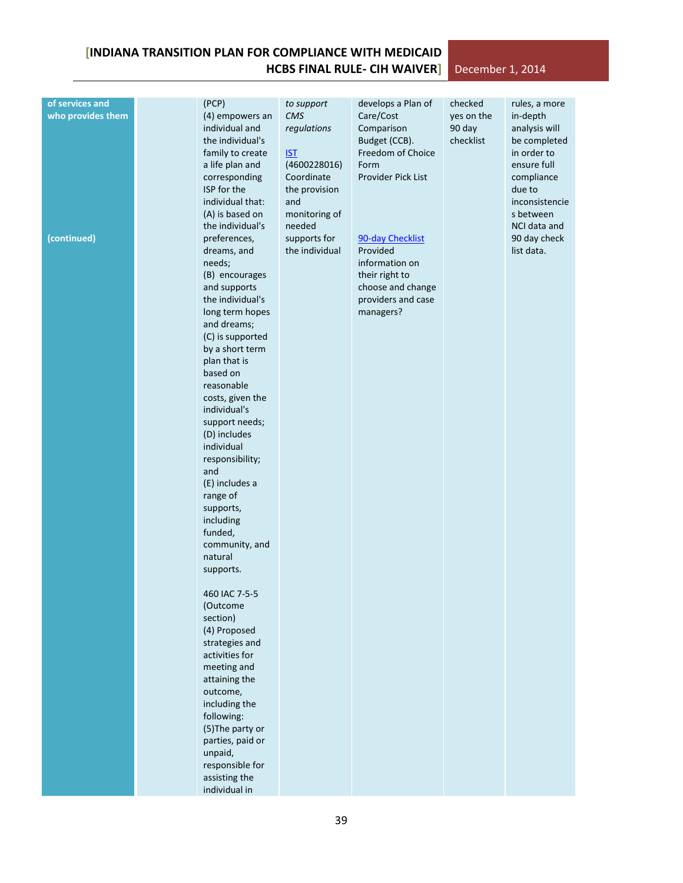#### **of services and who provides them (continued)** (PCP) (4) empowers an individual and the individual's family to create a life plan and corresponding ISP for the individual that: (A) is based on the individual's preferences, dreams, and needs; (B) encourages and supports the individual's long term hopes and dreams; (C) is supported by a short term plan that is based on reasonable costs, given the individual's support needs; (D) includes individual responsibility; and (E) includes a range of supports, including funded, community, and natural supports. 460 IAC 7-5-5 (Outcome section) (4) Proposed strategies and activities for meeting and attaining the outcome, including the following: (5)The party or parties, paid or unpaid, responsible for assisting the individual in *to support CMS regulations* [IST](https://secure.in.gov/fssa/files/Individualized_Support_Team.pdf) (4600228016) Coordinate the provision and monitoring of needed supports for the individual develops a Plan of Care/Cost Comparison Budget (CCB). Freedom of Choice Form Provider Pick List [90-day Checklist](https://secure.in.gov/fssa/files/New_90_Day_Checklist_6.8.12.pdf) Provided information on their right to choose and change providers and case managers? checked yes on the 90 day checklist rules, a more in-depth analysis will be completed in order to ensure full compliance due to inconsistencie s between NCI data and 90 day check list data.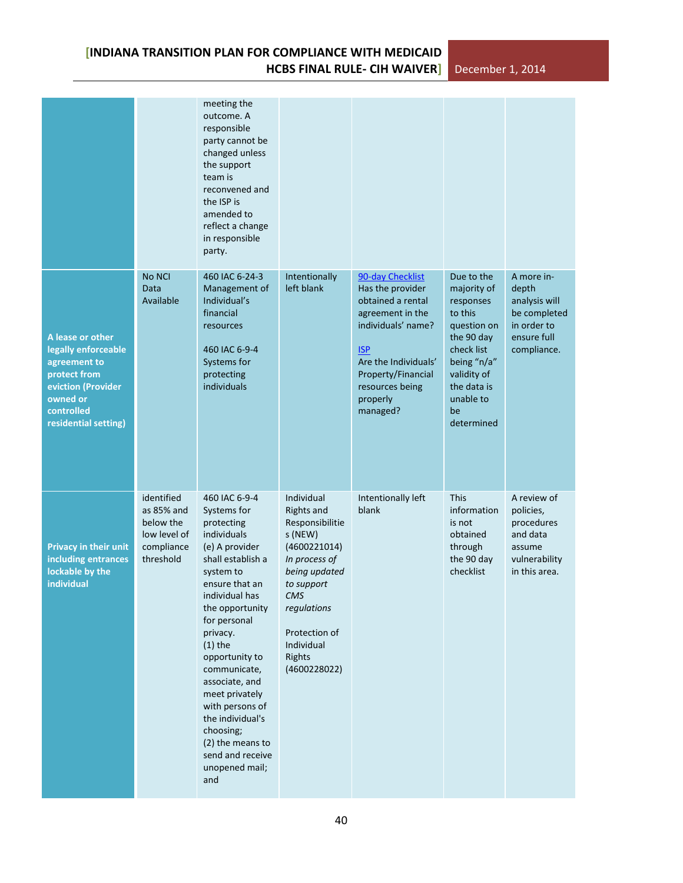|                                                                                                                                                 |                                                                                  | meeting the<br>outcome. A<br>responsible<br>party cannot be<br>changed unless<br>the support<br>team is<br>reconvened and<br>the ISP is<br>amended to<br>reflect a change<br>in responsible<br>party.                                                                                                                                                                                                    |                                                                                                                                                                                                              |                                                                                                                                                                                                            |                                                                                                                                                                            |                                                                                                   |
|-------------------------------------------------------------------------------------------------------------------------------------------------|----------------------------------------------------------------------------------|----------------------------------------------------------------------------------------------------------------------------------------------------------------------------------------------------------------------------------------------------------------------------------------------------------------------------------------------------------------------------------------------------------|--------------------------------------------------------------------------------------------------------------------------------------------------------------------------------------------------------------|------------------------------------------------------------------------------------------------------------------------------------------------------------------------------------------------------------|----------------------------------------------------------------------------------------------------------------------------------------------------------------------------|---------------------------------------------------------------------------------------------------|
| A lease or other<br>legally enforceable<br>agreement to<br>protect from<br>eviction (Provider<br>owned or<br>controlled<br>residential setting) | No NCI<br>Data<br>Available                                                      | 460 IAC 6-24-3<br>Management of<br>Individual's<br>financial<br>resources<br>460 IAC 6-9-4<br>Systems for<br>protecting<br>individuals                                                                                                                                                                                                                                                                   | Intentionally<br>left blank                                                                                                                                                                                  | 90-day Checklist<br>Has the provider<br>obtained a rental<br>agreement in the<br>individuals' name?<br><b>ISP</b><br>Are the Individuals'<br>Property/Financial<br>resources being<br>properly<br>managed? | Due to the<br>majority of<br>responses<br>to this<br>question on<br>the 90 day<br>check list<br>being "n/a"<br>validity of<br>the data is<br>unable to<br>be<br>determined | A more in-<br>depth<br>analysis will<br>be completed<br>in order to<br>ensure full<br>compliance. |
| <b>Privacy in their unit</b><br>including entrances<br>lockable by the<br>individual                                                            | identified<br>as 85% and<br>below the<br>low level of<br>compliance<br>threshold | 460 IAC 6-9-4<br>Systems for<br>protecting<br>individuals<br>(e) A provider<br>shall establish a<br>system to<br>ensure that an<br>individual has<br>the opportunity<br>for personal<br>privacy.<br>$(1)$ the<br>opportunity to<br>communicate,<br>associate, and<br>meet privately<br>with persons of<br>the individual's<br>choosing;<br>(2) the means to<br>send and receive<br>unopened mail;<br>and | Individual<br><b>Rights and</b><br>Responsibilitie<br>s (NEW)<br>(4600221014)<br>In process of<br>being updated<br>to support<br>CMS<br>regulations<br>Protection of<br>Individual<br>Rights<br>(4600228022) | Intentionally left<br>blank                                                                                                                                                                                | <b>This</b><br>information<br>is not<br>obtained<br>through<br>the 90 day<br>checklist                                                                                     | A review of<br>policies,<br>procedures<br>and data<br>assume<br>vulnerability<br>in this area.    |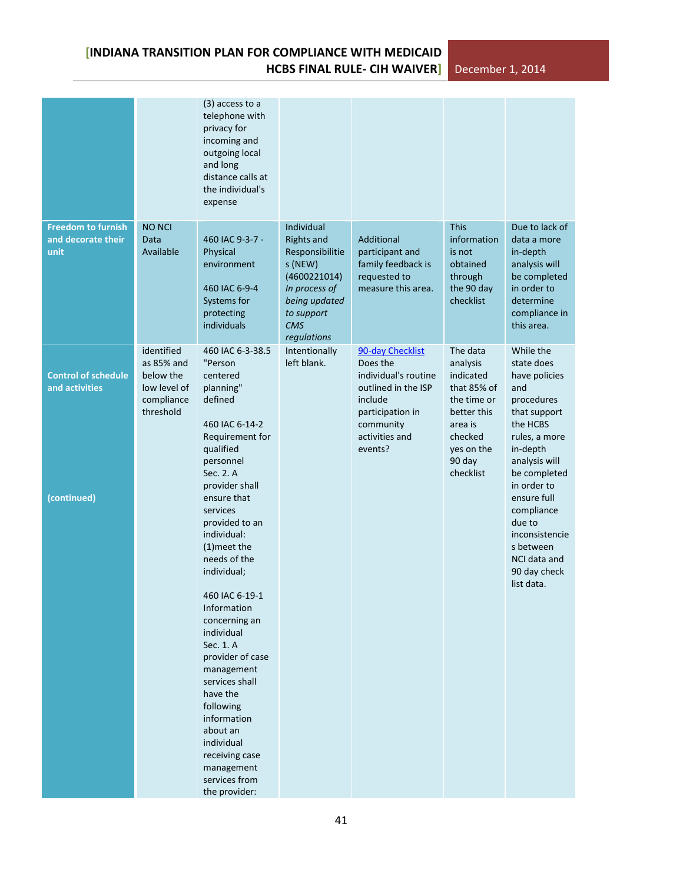| $(3)$ access to a<br>telephone with<br>privacy for<br>incoming and<br>outgoing local<br>and long<br>distance calls at<br>the individual's<br>expense<br><b>Freedom to furnish</b><br><b>This</b><br>Due to lack of<br><b>NO NCI</b><br>Individual<br>and decorate their<br>460 IAC 9-3-7 -<br>Additional<br>information<br>Data<br><b>Rights and</b><br>data a more<br>Available<br>unit<br>Physical<br>Responsibilitie<br>participant and<br>is not<br>in-depth<br>family feedback is<br>s (NEW)<br>obtained<br>analysis will<br>environment<br>(4600221014)<br>requested to<br>through<br>be completed<br>measure this area.<br>the 90 day<br>in order to<br>460 IAC 6-9-4<br>In process of<br>checklist<br>Systems for<br>being updated<br>determine<br>compliance in<br>protecting<br>to support                                                                                                                                                                                                                                                                                                                                                                                                                                                                                                                 |  |
|----------------------------------------------------------------------------------------------------------------------------------------------------------------------------------------------------------------------------------------------------------------------------------------------------------------------------------------------------------------------------------------------------------------------------------------------------------------------------------------------------------------------------------------------------------------------------------------------------------------------------------------------------------------------------------------------------------------------------------------------------------------------------------------------------------------------------------------------------------------------------------------------------------------------------------------------------------------------------------------------------------------------------------------------------------------------------------------------------------------------------------------------------------------------------------------------------------------------------------------------------------------------------------------------------------------------|--|
|                                                                                                                                                                                                                                                                                                                                                                                                                                                                                                                                                                                                                                                                                                                                                                                                                                                                                                                                                                                                                                                                                                                                                                                                                                                                                                                      |  |
| individuals<br><b>CMS</b><br>this area.<br>regulations                                                                                                                                                                                                                                                                                                                                                                                                                                                                                                                                                                                                                                                                                                                                                                                                                                                                                                                                                                                                                                                                                                                                                                                                                                                               |  |
| identified<br>460 IAC 6-3-38.5<br>Intentionally<br>90-day Checklist<br>The data<br>While the<br>"Person<br>left blank.<br>as 85% and<br>Does the<br>analysis<br>state does<br>individual's routine<br><b>Control of schedule</b><br>below the<br>centered<br>indicated<br>have policies<br>planning"<br>outlined in the ISP<br>that 85% of<br>and activities<br>low level of<br>and<br>defined<br>compliance<br>include<br>the time or<br>procedures<br>threshold<br>participation in<br>better this<br>that support<br>460 IAC 6-14-2<br>community<br>the HCBS<br>area is<br>activities and<br>Requirement for<br>checked<br>rules, a more<br>qualified<br>events?<br>in-depth<br>yes on the<br>90 day<br>personnel<br>analysis will<br>checklist<br>Sec. 2. A<br>be completed<br>provider shall<br>in order to<br>(continued)<br>ensure that<br>ensure full<br>services<br>compliance<br>provided to an<br>due to<br>individual:<br>inconsistencie<br>$(1)$ meet the<br>s between<br>needs of the<br>NCI data and<br>individual;<br>90 day check<br>list data.<br>460 IAC 6-19-1<br>Information<br>concerning an<br>individual<br>Sec. 1. A<br>provider of case<br>management<br>services shall<br>have the<br>following<br>information<br>about an<br>individual<br>receiving case<br>management<br>services from |  |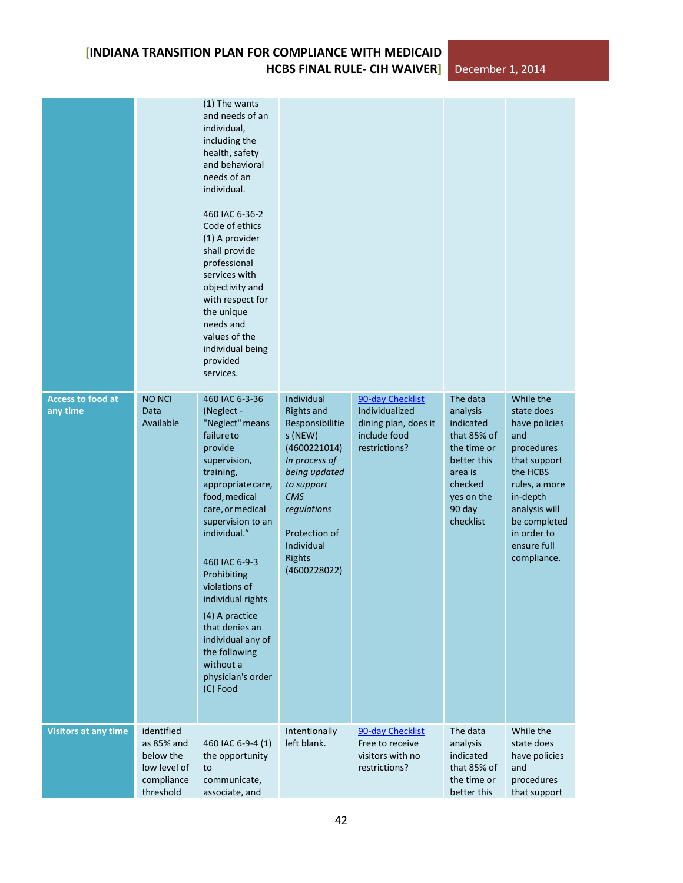**HCBS FINAL RULE- CIH WAIVER]** December 1, 2014

|                                      |                                                                                  | (1) The wants<br>and needs of an<br>individual,<br>including the<br>health, safety<br>and behavioral<br>needs of an<br>individual.<br>460 IAC 6-36-2<br>Code of ethics<br>(1) A provider<br>shall provide<br>professional<br>services with<br>objectivity and<br>with respect for<br>the unique<br>needs and<br>values of the<br>individual being<br>provided<br>services.                         |                                                                                                                                                                                                                            |                                                                                             |                                                                                                                                           |                                                                                                                                                                                                      |
|--------------------------------------|----------------------------------------------------------------------------------|----------------------------------------------------------------------------------------------------------------------------------------------------------------------------------------------------------------------------------------------------------------------------------------------------------------------------------------------------------------------------------------------------|----------------------------------------------------------------------------------------------------------------------------------------------------------------------------------------------------------------------------|---------------------------------------------------------------------------------------------|-------------------------------------------------------------------------------------------------------------------------------------------|------------------------------------------------------------------------------------------------------------------------------------------------------------------------------------------------------|
| <b>Access to food at</b><br>any time | <b>NO NCI</b><br>Data<br>Available                                               | 460 IAC 6-3-36<br>(Neglect -<br>"Neglect" means<br>failure to<br>provide<br>supervision,<br>training,<br>appropriate care,<br>food, medical<br>care, or medical<br>supervision to an<br>individual."<br>460 IAC 6-9-3<br>Prohibiting<br>violations of<br>individual rights<br>(4) A practice<br>that denies an<br>individual any of<br>the following<br>without a<br>physician's order<br>(C) Food | Individual<br><b>Rights and</b><br>Responsibilitie<br>s (NEW)<br>(4600221014)<br>In process of<br>being updated<br>to support<br><b>CMS</b><br>regulations<br>Protection of<br>Individual<br><b>Rights</b><br>(4600228022) | 90-day Checklist<br>Individualized<br>dining plan, does it<br>include food<br>restrictions? | The data<br>analysis<br>indicated<br>that 85% of<br>the time or<br>better this<br>area is<br>checked<br>yes on the<br>90 day<br>checklist | While the<br>state does<br>have policies<br>and<br>procedures<br>that support<br>the HCBS<br>rules, a more<br>in-depth<br>analysis will<br>be completed<br>in order to<br>ensure full<br>compliance. |
| <b>Visitors at any time</b>          | identified<br>as 85% and<br>below the<br>low level of<br>compliance<br>threshold | 460 IAC 6-9-4 (1)<br>the opportunity<br>to<br>communicate,<br>associate, and                                                                                                                                                                                                                                                                                                                       | Intentionally<br>left blank.                                                                                                                                                                                               | 90-day Checklist<br>Free to receive<br>visitors with no<br>restrictions?                    | The data<br>analysis<br>indicated<br>that 85% of<br>the time or<br>better this                                                            | While the<br>state does<br>have policies<br>and<br>procedures<br>that support                                                                                                                        |

**[INDIANA TRANSITION PLAN FOR COMPLIANCE WITH MEDICAID**